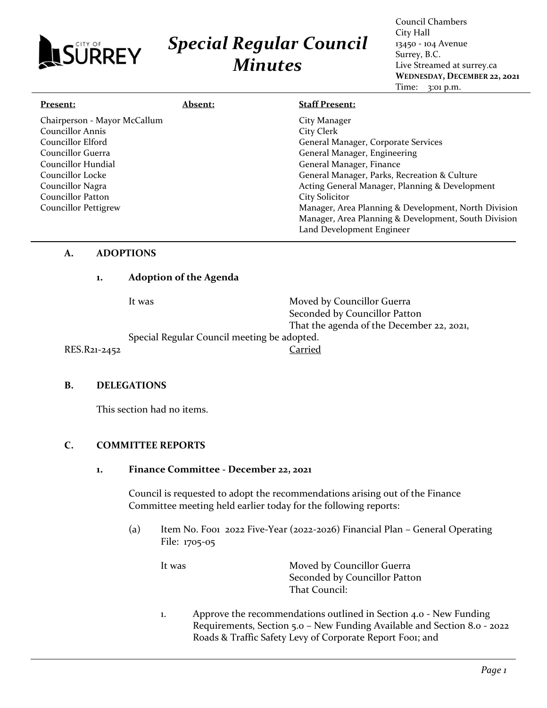# *Special Regular Council Minutes*

Council Chambers City Hall 13450 - 104 Avenue Surrey, B.C. Live Streamed at surrey.ca **WEDNESDAY, DECEMBER 22, 2021** Time: 3:01 p.m.

| <u>Present:</u>              | <b>Absent:</b> | <b>Staff Present:</b>                                |
|------------------------------|----------------|------------------------------------------------------|
| Chairperson - Mayor McCallum |                | City Manager                                         |
| <b>Councillor Annis</b>      |                | City Clerk                                           |
| Councillor Elford            |                | General Manager, Corporate Services                  |
| Councillor Guerra            |                | General Manager, Engineering                         |
| Councillor Hundial           |                | General Manager, Finance                             |
| Councillor Locke             |                | General Manager, Parks, Recreation & Culture         |
| Councillor Nagra             |                | Acting General Manager, Planning & Development       |
| Councillor Patton            |                | <b>City Solicitor</b>                                |
| <b>Councillor Pettigrew</b>  |                | Manager, Area Planning & Development, North Division |
|                              |                | Manager, Area Planning & Development, South Division |
|                              |                | Land Development Engineer                            |

## **A. ADOPTIONS**

LSURREY

## **1. Adoption of the Agenda**

It was **Moved by Councillor Guerra** Seconded by Councillor Patton That the agenda of the December 22, 2021, Special Regular Council meeting be adopted. RES.R21-2452 Carried

## **B. DELEGATIONS**

This section had no items.

## **C. COMMITTEE REPORTS**

**1. Finance Committee - December 22, 2021**

Council is requested to adopt the recommendations arising out of the Finance Committee meeting held earlier today for the following reports:

(a) Item No. F001 2022 Five-Year (2022-2026) Financial Plan – General Operating File: 1705-05

It was Moved by Councillor Guerra Seconded by Councillor Patton That Council:

1. Approve the recommendations outlined in Section 4.0 - New Funding Requirements, Section 5.0 – New Funding Available and Section 8.0 - 2022 Roads & Traffic Safety Levy of Corporate Report Fooi; and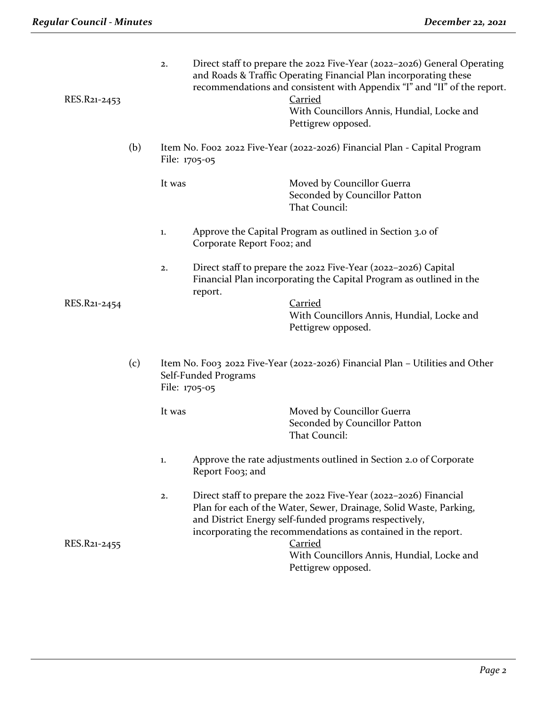| RES.R21-2453 |     | 2.     |                                       | Direct staff to prepare the 2022 Five-Year (2022-2026) General Operating<br>and Roads & Traffic Operating Financial Plan incorporating these<br>recommendations and consistent with Appendix "I" and "II" of the report.<br><b>Carried</b><br>With Councillors Annis, Hundial, Locke and<br>Pettigrew opposed. |
|--------------|-----|--------|---------------------------------------|----------------------------------------------------------------------------------------------------------------------------------------------------------------------------------------------------------------------------------------------------------------------------------------------------------------|
|              | (b) |        | File: 1705-05                         | Item No. Foo2 2022 Five-Year (2022-2026) Financial Plan - Capital Program                                                                                                                                                                                                                                      |
|              |     | It was |                                       | Moved by Councillor Guerra<br>Seconded by Councillor Patton<br>That Council:                                                                                                                                                                                                                                   |
|              |     | 1.     | Corporate Report Foo2; and            | Approve the Capital Program as outlined in Section 3.0 of                                                                                                                                                                                                                                                      |
|              |     | 2.     |                                       | Direct staff to prepare the 2022 Five-Year (2022-2026) Capital<br>Financial Plan incorporating the Capital Program as outlined in the                                                                                                                                                                          |
| RES.R21-2454 |     |        | report.                               | <b>Carried</b><br>With Councillors Annis, Hundial, Locke and<br>Pettigrew opposed.                                                                                                                                                                                                                             |
|              | (c) |        | Self-Funded Programs<br>File: 1705-05 | Item No. Foo3 2022 Five-Year (2022-2026) Financial Plan – Utilities and Other                                                                                                                                                                                                                                  |
|              |     | It was |                                       | Moved by Councillor Guerra<br>Seconded by Councillor Patton<br>That Council:                                                                                                                                                                                                                                   |
|              |     | 1.     | Report Foo3; and                      | Approve the rate adjustments outlined in Section 2.0 of Corporate                                                                                                                                                                                                                                              |
| RES.R21-2455 |     | 2.     |                                       | Direct staff to prepare the 2022 Five-Year (2022-2026) Financial<br>Plan for each of the Water, Sewer, Drainage, Solid Waste, Parking,<br>and District Energy self-funded programs respectively,<br>incorporating the recommendations as contained in the report.<br><b>Carried</b>                            |
|              |     |        |                                       | With Councillors Annis, Hundial, Locke and<br>Pettigrew opposed.                                                                                                                                                                                                                                               |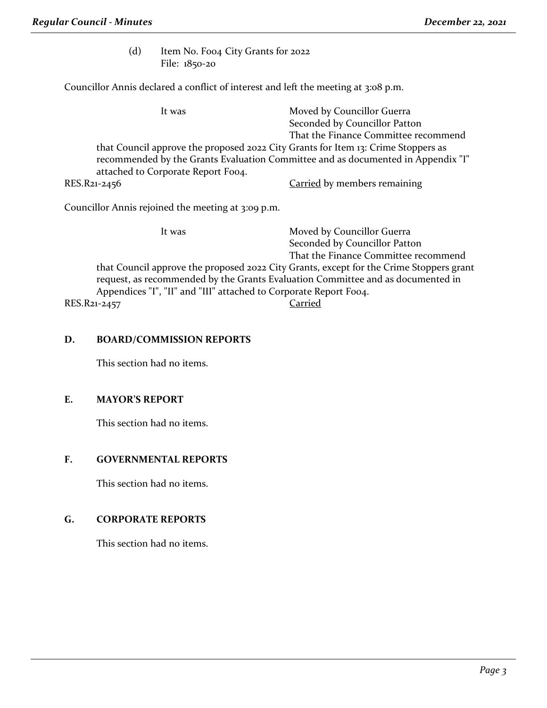(d) Item No. Foo4 City Grants for 2022 File: 1850-20

Councillor Annis declared a conflict of interest and left the meeting at 3:08 p.m.

It was Moved by Councillor Guerra Seconded by Councillor Patton That the Finance Committee recommend that Council approve the proposed 2022 City Grants for Item 13: Crime Stoppers as recommended by the Grants Evaluation Committee and as documented in Appendix "I" attached to Corporate Report Foo4. RES.R21-2456 Carried by members remaining

Councillor Annis rejoined the meeting at 3:09 p.m.

It was Moved by Councillor Guerra

|              | $1.1016401$ countinor ducting                                                           |
|--------------|-----------------------------------------------------------------------------------------|
|              | Seconded by Councillor Patton                                                           |
|              | That the Finance Committee recommend                                                    |
|              | that Council approve the proposed 2022 City Grants, except for the Crime Stoppers grant |
|              | request, as recommended by the Grants Evaluation Committee and as documented in         |
|              | Appendices "I", "II" and "III" attached to Corporate Report Foo4.                       |
| RES.R21-2457 | Carried                                                                                 |
|              |                                                                                         |

## **D. BOARD/COMMISSION REPORTS**

This section had no items.

#### **E. MAYOR'S REPORT**

This section had no items.

## **F. GOVERNMENTAL REPORTS**

This section had no items.

## **G. CORPORATE REPORTS**

This section had no items.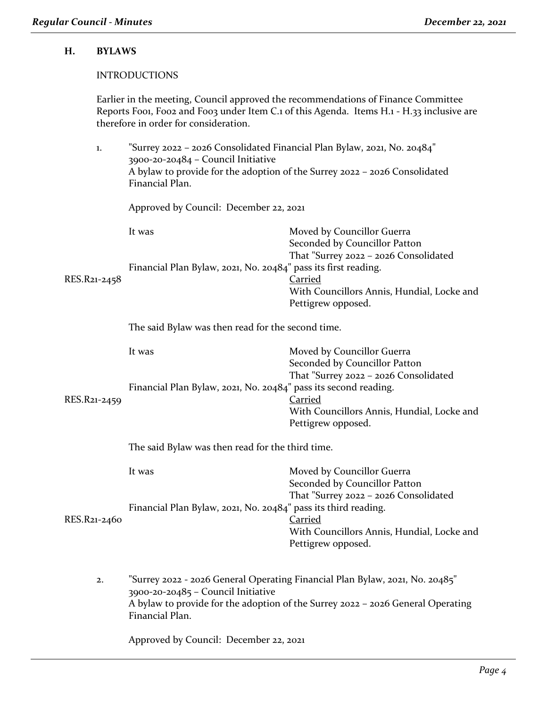## **H. BYLAWS**

### INTRODUCTIONS

Earlier in the meeting, Council approved the recommendations of Finance Committee Reports Foo1, Foo2 and Foo3 under Item C.1 of this Agenda. Items H.1 - H.33 inclusive are therefore in order for consideration.

| 1.           | "Surrey 2022 - 2026 Consolidated Financial Plan Bylaw, 2021, No. 20484"<br>3900-20-20484 - Council Initiative<br>A bylaw to provide for the adoption of the Surrey 2022 - 2026 Consolidated<br>Financial Plan. |                                                                                                                                                                                            |  |
|--------------|----------------------------------------------------------------------------------------------------------------------------------------------------------------------------------------------------------------|--------------------------------------------------------------------------------------------------------------------------------------------------------------------------------------------|--|
|              | Approved by Council: December 22, 2021                                                                                                                                                                         |                                                                                                                                                                                            |  |
| RES.R21-2458 | It was<br>Financial Plan Bylaw, 2021, No. 20484" pass its first reading.                                                                                                                                       | Moved by Councillor Guerra<br>Seconded by Councillor Patton<br>That "Surrey 2022 - 2026 Consolidated<br><b>Carried</b><br>With Councillors Annis, Hundial, Locke and<br>Pettigrew opposed. |  |
|              | The said Bylaw was then read for the second time.                                                                                                                                                              |                                                                                                                                                                                            |  |
| RES.R21-2459 | It was<br>Financial Plan Bylaw, 2021, No. 20484" pass its second reading.                                                                                                                                      | Moved by Councillor Guerra<br>Seconded by Councillor Patton<br>That "Surrey 2022 - 2026 Consolidated<br><b>Carried</b>                                                                     |  |
|              |                                                                                                                                                                                                                | With Councillors Annis, Hundial, Locke and<br>Pettigrew opposed.                                                                                                                           |  |
|              | The said Bylaw was then read for the third time.                                                                                                                                                               |                                                                                                                                                                                            |  |
|              | It was                                                                                                                                                                                                         | Moved by Councillor Guerra<br>Seconded by Councillor Patton<br>That "Surrey 2022 - 2026 Consolidated                                                                                       |  |
| RES.R21-2460 | Financial Plan Bylaw, 2021, No. 20484" pass its third reading.                                                                                                                                                 | Carried<br>With Councillors Annis, Hundial, Locke and<br>Pettigrew opposed.                                                                                                                |  |
| 2.           | 3900-20-20485 - Council Initiative<br>Financial Plan.                                                                                                                                                          | "Surrey 2022 - 2026 General Operating Financial Plan Bylaw, 2021, No. 20485"<br>A bylaw to provide for the adoption of the Surrey 2022 - 2026 General Operating                            |  |
|              | Approved by Council: December 22, 2021                                                                                                                                                                         |                                                                                                                                                                                            |  |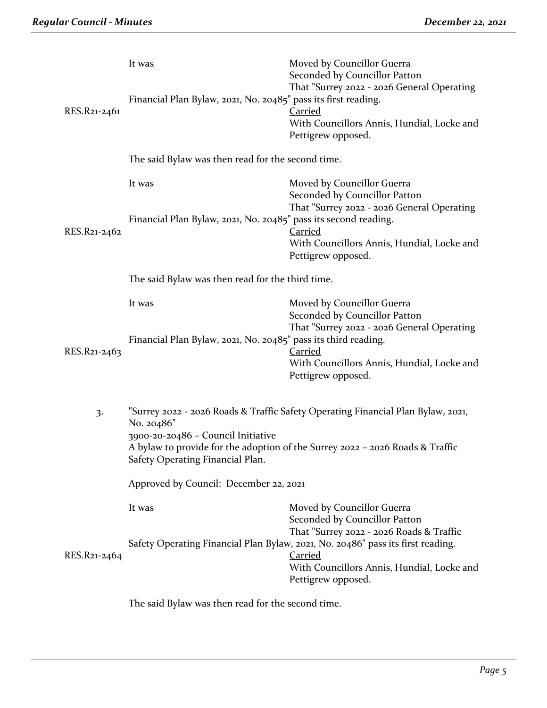| RES.R21-2461 | It was<br>Financial Plan Bylaw, 2021, No. 20485" pass its first reading.  | Moved by Councillor Guerra<br>Seconded by Councillor Patton<br>That "Surrey 2022 - 2026 General Operating<br><b>Carried</b><br>With Councillors Annis, Hundial, Locke and<br>Pettigrew opposed.              |  |
|--------------|---------------------------------------------------------------------------|--------------------------------------------------------------------------------------------------------------------------------------------------------------------------------------------------------------|--|
|              | The said Bylaw was then read for the second time.                         |                                                                                                                                                                                                              |  |
| RES.R21-2462 | It was<br>Financial Plan Bylaw, 2021, No. 20485" pass its second reading. | Moved by Councillor Guerra<br>Seconded by Councillor Patton<br>That "Surrey 2022 - 2026 General Operating<br><b>Carried</b><br>With Councillors Annis, Hundial, Locke and                                    |  |
|              |                                                                           | Pettigrew opposed.                                                                                                                                                                                           |  |
|              | The said Bylaw was then read for the third time.                          |                                                                                                                                                                                                              |  |
|              | It was                                                                    | Moved by Councillor Guerra<br>Seconded by Councillor Patton<br>That "Surrey 2022 - 2026 General Operating                                                                                                    |  |
| RES.R21-2463 | Financial Plan Bylaw, 2021, No. 20485" pass its third reading.            | <b>Carried</b><br>With Councillors Annis, Hundial, Locke and<br>Pettigrew opposed.                                                                                                                           |  |
| 3.           | No. 20486"<br>3900-20-20486 - Council Initiative                          | "Surrey 2022 - 2026 Roads & Traffic Safety Operating Financial Plan Bylaw, 2021,<br>A bylaw to provide for the adoption of the Surrey 2022 - 2026 Roads & Traffic                                            |  |
|              | Safety Operating Financial Plan.                                          |                                                                                                                                                                                                              |  |
|              | Approved by Council: December 22, 2021                                    |                                                                                                                                                                                                              |  |
| RES.R21-2464 | It was                                                                    | Moved by Councillor Guerra<br>Seconded by Councillor Patton<br>That "Surrey 2022 - 2026 Roads & Traffic<br>Safety Operating Financial Plan Bylaw, 2021, No. 20486" pass its first reading.<br><b>Carried</b> |  |
|              |                                                                           | With Councillors Annis, Hundial, Locke and<br>Pettigrew opposed.                                                                                                                                             |  |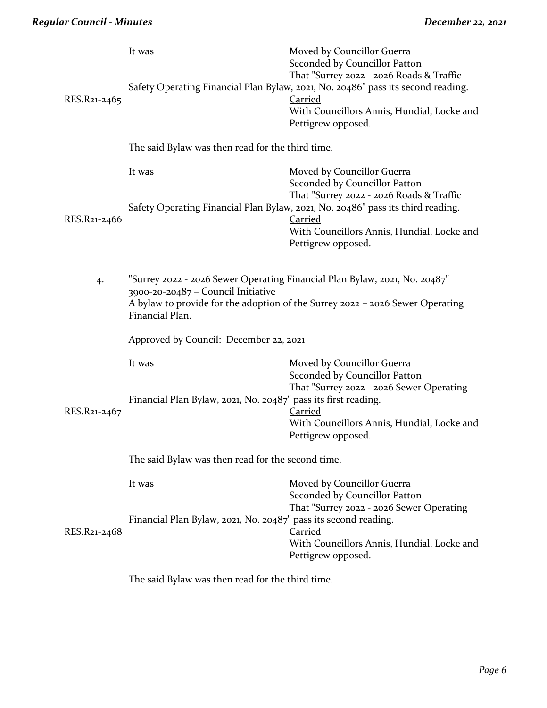| RES.R21-2465 | It was                                                                                                                                                                                                               | Moved by Councillor Guerra<br>Seconded by Councillor Patton<br>That "Surrey 2022 - 2026 Roads & Traffic<br>Safety Operating Financial Plan Bylaw, 2021, No. 20486" pass its second reading.<br><b>Carried</b><br>With Councillors Annis, Hundial, Locke and<br>Pettigrew opposed. |
|--------------|----------------------------------------------------------------------------------------------------------------------------------------------------------------------------------------------------------------------|-----------------------------------------------------------------------------------------------------------------------------------------------------------------------------------------------------------------------------------------------------------------------------------|
|              | The said Bylaw was then read for the third time.                                                                                                                                                                     |                                                                                                                                                                                                                                                                                   |
| RES.R21-2466 | It was                                                                                                                                                                                                               | Moved by Councillor Guerra<br>Seconded by Councillor Patton<br>That "Surrey 2022 - 2026 Roads & Traffic<br>Safety Operating Financial Plan Bylaw, 2021, No. 20486" pass its third reading.<br><b>Carried</b>                                                                      |
|              |                                                                                                                                                                                                                      | With Councillors Annis, Hundial, Locke and<br>Pettigrew opposed.                                                                                                                                                                                                                  |
| 4.           | "Surrey 2022 - 2026 Sewer Operating Financial Plan Bylaw, 2021, No. 20487"<br>3900-20-20487 - Council Initiative<br>A bylaw to provide for the adoption of the Surrey 2022 - 2026 Sewer Operating<br>Financial Plan. |                                                                                                                                                                                                                                                                                   |
|              | Approved by Council: December 22, 2021                                                                                                                                                                               |                                                                                                                                                                                                                                                                                   |
|              | It was                                                                                                                                                                                                               | Moved by Councillor Guerra<br>Seconded by Councillor Patton<br>That "Surrey 2022 - 2026 Sewer Operating                                                                                                                                                                           |
| RES.R21-2467 | Financial Plan Bylaw, 2021, No. 20487" pass its first reading.                                                                                                                                                       | Carried<br>With Councillors Annis, Hundial, Locke and<br>Pettigrew opposed.                                                                                                                                                                                                       |
|              | The said Bylaw was then read for the second time.                                                                                                                                                                    |                                                                                                                                                                                                                                                                                   |
|              | It was<br>Financial Plan Bylaw, 2021, No. 20487" pass its second reading.                                                                                                                                            | Moved by Councillor Guerra<br>Seconded by Councillor Patton<br>That "Surrey 2022 - 2026 Sewer Operating                                                                                                                                                                           |
| RES.R21-2468 |                                                                                                                                                                                                                      | <b>Carried</b><br>With Councillors Annis, Hundial, Locke and<br>Pettigrew opposed.                                                                                                                                                                                                |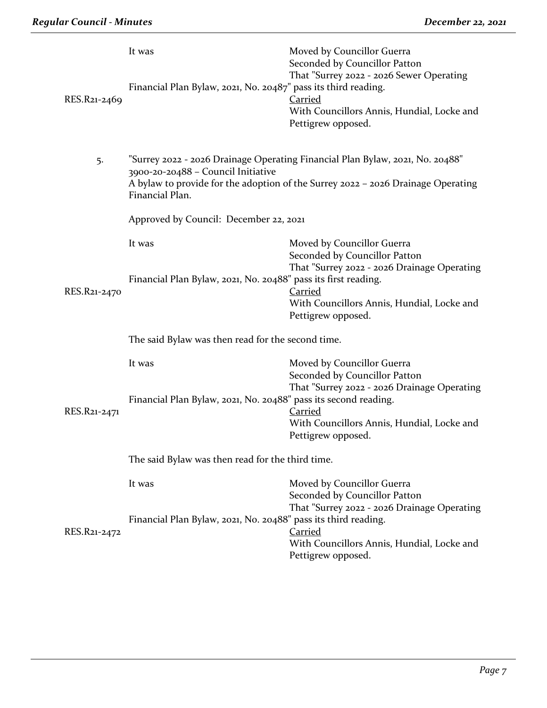| RES.R21-2469 | It was<br>Financial Plan Bylaw, 2021, No. 20487" pass its third reading. | Moved by Councillor Guerra<br>Seconded by Councillor Patton<br>That "Surrey 2022 - 2026 Sewer Operating<br>Carried<br>With Councillors Annis, Hundial, Locke and<br>Pettigrew opposed. |  |
|--------------|--------------------------------------------------------------------------|----------------------------------------------------------------------------------------------------------------------------------------------------------------------------------------|--|
| 5.           | 3900-20-20488 - Council Initiative<br>Financial Plan.                    | "Surrey 2022 - 2026 Drainage Operating Financial Plan Bylaw, 2021, No. 20488"<br>A bylaw to provide for the adoption of the Surrey 2022 - 2026 Drainage Operating                      |  |
|              | Approved by Council: December 22, 2021                                   |                                                                                                                                                                                        |  |
|              | It was                                                                   | Moved by Councillor Guerra<br>Seconded by Councillor Patton<br>That "Surrey 2022 - 2026 Drainage Operating                                                                             |  |
| RES.R21-2470 | Financial Plan Bylaw, 2021, No. 20488" pass its first reading.           | <b>Carried</b><br>With Councillors Annis, Hundial, Locke and<br>Pettigrew opposed.                                                                                                     |  |
|              | The said Bylaw was then read for the second time.                        |                                                                                                                                                                                        |  |
|              | It was                                                                   | Moved by Councillor Guerra<br>Seconded by Councillor Patton<br>That "Surrey 2022 - 2026 Drainage Operating                                                                             |  |
| RES.R21-2471 | Financial Plan Bylaw, 2021, No. 20488" pass its second reading.          | <b>Carried</b><br>With Councillors Annis, Hundial, Locke and<br>Pettigrew opposed.                                                                                                     |  |
|              | The said Bylaw was then read for the third time.                         |                                                                                                                                                                                        |  |
|              | It was                                                                   | Moved by Councillor Guerra<br>Seconded by Councillor Patton<br>That "Surrey 2022 - 2026 Drainage Operating                                                                             |  |
| RES.R21-2472 | Financial Plan Bylaw, 2021, No. 20488" pass its third reading.           | <b>Carried</b><br>With Councillors Annis, Hundial, Locke and<br>Pettigrew opposed.                                                                                                     |  |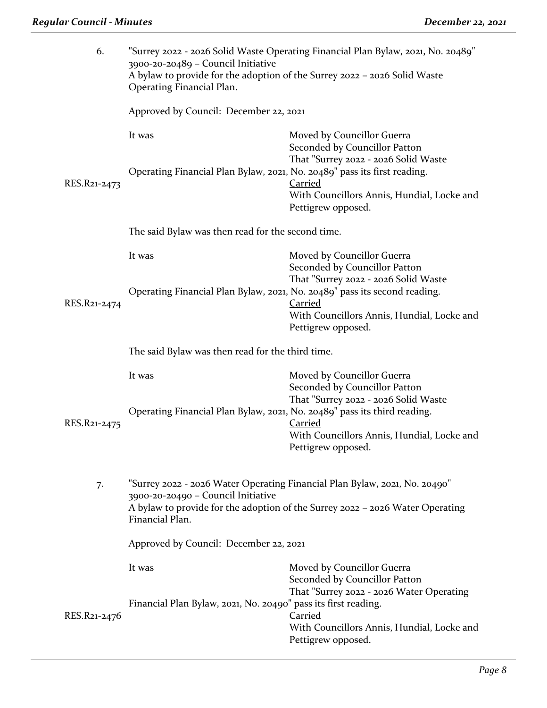| 6.           | "Surrey 2022 - 2026 Solid Waste Operating Financial Plan Bylaw, 2021, No. 20489"<br>3900-20-20489 - Council Initiative<br>A bylaw to provide for the adoption of the Surrey 2022 - 2026 Solid Waste<br>Operating Financial Plan. |                                                                                                                            |  |
|--------------|----------------------------------------------------------------------------------------------------------------------------------------------------------------------------------------------------------------------------------|----------------------------------------------------------------------------------------------------------------------------|--|
|              | Approved by Council: December 22, 2021                                                                                                                                                                                           |                                                                                                                            |  |
|              | It was                                                                                                                                                                                                                           | Moved by Councillor Guerra<br>Seconded by Councillor Patton<br>That "Surrey 2022 - 2026 Solid Waste                        |  |
| RES.R21-2473 | Operating Financial Plan Bylaw, 2021, No. 20489" pass its first reading.                                                                                                                                                         | <b>Carried</b><br>With Councillors Annis, Hundial, Locke and<br>Pettigrew opposed.                                         |  |
|              | The said Bylaw was then read for the second time.                                                                                                                                                                                |                                                                                                                            |  |
|              | It was                                                                                                                                                                                                                           | Moved by Councillor Guerra<br>Seconded by Councillor Patton<br>That "Surrey 2022 - 2026 Solid Waste                        |  |
| RES.R21-2474 | Operating Financial Plan Bylaw, 2021, No. 20489" pass its second reading.                                                                                                                                                        | <b>Carried</b><br>With Councillors Annis, Hundial, Locke and<br>Pettigrew opposed.                                         |  |
|              | The said Bylaw was then read for the third time.                                                                                                                                                                                 |                                                                                                                            |  |
|              | It was                                                                                                                                                                                                                           | Moved by Councillor Guerra<br>Seconded by Councillor Patton                                                                |  |
| RES.R21-2475 | Operating Financial Plan Bylaw, 2021, No. 20489" pass its third reading.                                                                                                                                                         | That "Surrey 2022 - 2026 Solid Waste<br><b>Carried</b><br>With Councillors Annis, Hundial, Locke and<br>Pettigrew opposed. |  |
| 7.           | "Surrey 2022 - 2026 Water Operating Financial Plan Bylaw, 2021, No. 20490"<br>3900-20-20490 - Council Initiative<br>A bylaw to provide for the adoption of the Surrey 2022 - 2026 Water Operating<br>Financial Plan.             |                                                                                                                            |  |
|              | Approved by Council: December 22, 2021                                                                                                                                                                                           |                                                                                                                            |  |
|              | It was                                                                                                                                                                                                                           | Moved by Councillor Guerra<br>Seconded by Councillor Patton<br>That "Surrey 2022 - 2026 Water Operating                    |  |
| RES.R21-2476 | Financial Plan Bylaw, 2021, No. 20490" pass its first reading.                                                                                                                                                                   | <b>Carried</b><br>With Councillors Annis, Hundial, Locke and<br>Pettigrew opposed.                                         |  |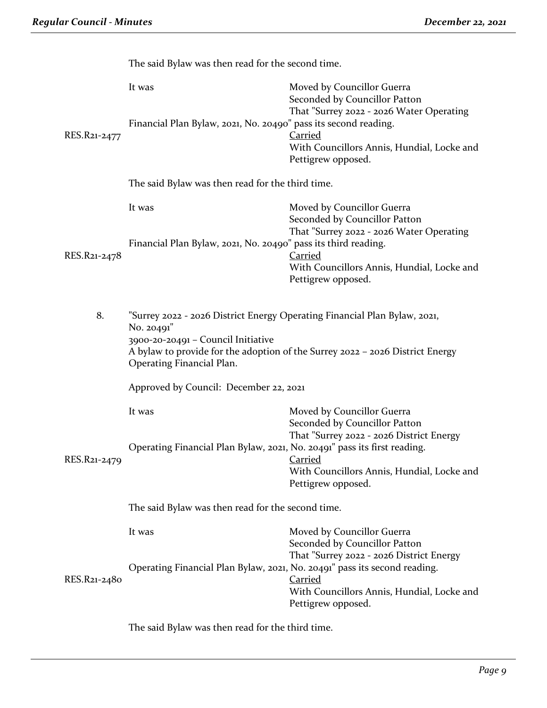|              | The said Bylaw was then read for the second time.                                                                                                                                                              |                                                                                                                                |  |
|--------------|----------------------------------------------------------------------------------------------------------------------------------------------------------------------------------------------------------------|--------------------------------------------------------------------------------------------------------------------------------|--|
|              | It was<br>Financial Plan Bylaw, 2021, No. 20490" pass its second reading.                                                                                                                                      | Moved by Councillor Guerra<br>Seconded by Councillor Patton<br>That "Surrey 2022 - 2026 Water Operating                        |  |
| RES.R21-2477 |                                                                                                                                                                                                                | <b>Carried</b><br>With Councillors Annis, Hundial, Locke and<br>Pettigrew opposed.                                             |  |
|              | The said Bylaw was then read for the third time.                                                                                                                                                               |                                                                                                                                |  |
|              | It was                                                                                                                                                                                                         | Moved by Councillor Guerra<br>Seconded by Councillor Patton<br>That "Surrey 2022 - 2026 Water Operating                        |  |
| RES.R21-2478 | Financial Plan Bylaw, 2021, No. 20490" pass its third reading.                                                                                                                                                 | <b>Carried</b><br>With Councillors Annis, Hundial, Locke and<br>Pettigrew opposed.                                             |  |
|              |                                                                                                                                                                                                                |                                                                                                                                |  |
| 8.           | "Surrey 2022 - 2026 District Energy Operating Financial Plan Bylaw, 2021,<br>No. 20491"<br>3900-20-20491 - Council Initiative<br>A bylaw to provide for the adoption of the Surrey 2022 - 2026 District Energy |                                                                                                                                |  |
|              | Operating Financial Plan.                                                                                                                                                                                      |                                                                                                                                |  |
|              | Approved by Council: December 22, 2021                                                                                                                                                                         |                                                                                                                                |  |
|              | It was                                                                                                                                                                                                         | Moved by Councillor Guerra<br>Seconded by Councillor Patton<br>That "Surrey 2022 - 2026 District Energy                        |  |
| RES.R21-2479 | Operating Financial Plan Bylaw, 2021, No. 20491" pass its first reading.                                                                                                                                       | <u>Carried</u><br>With Councillors Annis, Hundial, Locke and<br>Pettigrew opposed.                                             |  |
|              | The said Bylaw was then read for the second time.                                                                                                                                                              |                                                                                                                                |  |
|              | It was                                                                                                                                                                                                         | Moved by Councillor Guerra<br>Seconded by Councillor Patton                                                                    |  |
| RES.R21-2480 | Operating Financial Plan Bylaw, 2021, No. 20491" pass its second reading.                                                                                                                                      | That "Surrey 2022 - 2026 District Energy<br><b>Carried</b><br>With Councillors Annis, Hundial, Locke and<br>Pettigrew opposed. |  |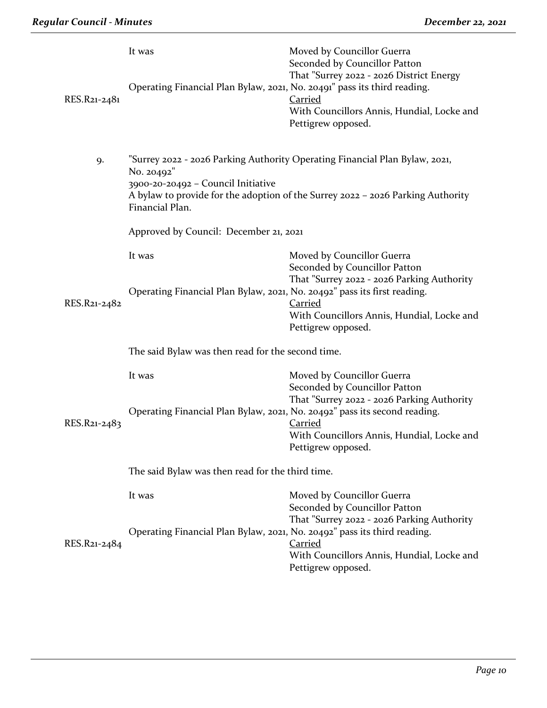| RES.R21-2481 | It was<br>Operating Financial Plan Bylaw, 2021, No. 20491" pass its third reading. | Moved by Councillor Guerra<br>Seconded by Councillor Patton<br>That "Surrey 2022 - 2026 District Energy<br><b>Carried</b><br>With Councillors Annis, Hundial, Locke and<br>Pettigrew opposed. |  |
|--------------|------------------------------------------------------------------------------------|-----------------------------------------------------------------------------------------------------------------------------------------------------------------------------------------------|--|
| 9.           | No. 20492"<br>3900-20-20492 - Council Initiative<br>Financial Plan.                | "Surrey 2022 - 2026 Parking Authority Operating Financial Plan Bylaw, 2021,<br>A bylaw to provide for the adoption of the Surrey 2022 - 2026 Parking Authority                                |  |
|              | Approved by Council: December 21, 2021                                             |                                                                                                                                                                                               |  |
|              | It was<br>Operating Financial Plan Bylaw, 2021, No. 20492" pass its first reading. | Moved by Councillor Guerra<br>Seconded by Councillor Patton<br>That "Surrey 2022 - 2026 Parking Authority                                                                                     |  |
| RES.R21-2482 |                                                                                    | <b>Carried</b><br>With Councillors Annis, Hundial, Locke and<br>Pettigrew opposed.                                                                                                            |  |
|              | The said Bylaw was then read for the second time.                                  |                                                                                                                                                                                               |  |
|              | It was                                                                             | Moved by Councillor Guerra<br>Seconded by Councillor Patton<br>That "Surrey 2022 - 2026 Parking Authority                                                                                     |  |
| RES.R21-2483 | Operating Financial Plan Bylaw, 2021, No. 20492" pass its second reading.          | <b>Carried</b><br>With Councillors Annis, Hundial, Locke and<br>Pettigrew opposed.                                                                                                            |  |
|              | The said Bylaw was then read for the third time.                                   |                                                                                                                                                                                               |  |
|              | It was                                                                             | Moved by Councillor Guerra<br>Seconded by Councillor Patton<br>That "Surrey 2022 - 2026 Parking Authority                                                                                     |  |
| RES.R21-2484 | Operating Financial Plan Bylaw, 2021, No. 20492" pass its third reading.           | <b>Carried</b><br>With Councillors Annis, Hundial, Locke and<br>Pettigrew opposed.                                                                                                            |  |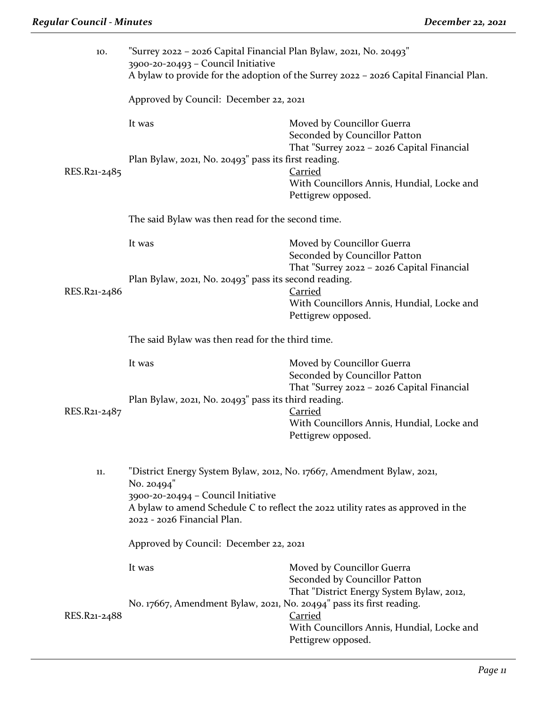| 10.          | "Surrey 2022 – 2026 Capital Financial Plan Bylaw, 2021, No. 20493"<br>3900-20-20493 - Council Initiative<br>A bylaw to provide for the adoption of the Surrey 2022 - 2026 Capital Financial Plan. |                                                                                                                                                                           |  |
|--------------|---------------------------------------------------------------------------------------------------------------------------------------------------------------------------------------------------|---------------------------------------------------------------------------------------------------------------------------------------------------------------------------|--|
|              | Approved by Council: December 22, 2021                                                                                                                                                            |                                                                                                                                                                           |  |
| RES.R21-2485 | It was<br>Plan Bylaw, 2021, No. 20493" pass its first reading.                                                                                                                                    | Moved by Councillor Guerra<br>Seconded by Councillor Patton<br>That "Surrey 2022 - 2026 Capital Financial<br><b>Carried</b><br>With Councillors Annis, Hundial, Locke and |  |
|              | The said Bylaw was then read for the second time.                                                                                                                                                 | Pettigrew opposed.                                                                                                                                                        |  |
|              |                                                                                                                                                                                                   |                                                                                                                                                                           |  |
|              | It was                                                                                                                                                                                            | Moved by Councillor Guerra<br>Seconded by Councillor Patton                                                                                                               |  |
|              | Plan Bylaw, 2021, No. 20493" pass its second reading.                                                                                                                                             | That "Surrey 2022 - 2026 Capital Financial                                                                                                                                |  |
| RES.R21-2486 |                                                                                                                                                                                                   | <b>Carried</b><br>With Councillors Annis, Hundial, Locke and<br>Pettigrew opposed.                                                                                        |  |
|              | The said Bylaw was then read for the third time.                                                                                                                                                  |                                                                                                                                                                           |  |
|              | It was                                                                                                                                                                                            | Moved by Councillor Guerra<br>Seconded by Councillor Patton<br>That "Surrey 2022 - 2026 Capital Financial                                                                 |  |
| RES.R21-2487 | Plan Bylaw, 2021, No. 20493" pass its third reading.                                                                                                                                              | <b>Carried</b><br>With Councillors Annis, Hundial, Locke and<br>Pettigrew opposed.                                                                                        |  |
| 11.          | "District Energy System Bylaw, 2012, No. 17667, Amendment Bylaw, 2021,<br>No. 20494"<br>3900-20-20494 - Council Initiative<br>2022 - 2026 Financial Plan.                                         | A bylaw to amend Schedule C to reflect the 2022 utility rates as approved in the                                                                                          |  |
|              | Approved by Council: December 22, 2021                                                                                                                                                            |                                                                                                                                                                           |  |
|              | It was                                                                                                                                                                                            | Moved by Councillor Guerra<br>Seconded by Councillor Patton<br>That "District Energy System Bylaw, 2012,                                                                  |  |
| RES.R21-2488 | No. 17667, Amendment Bylaw, 2021, No. 20494" pass its first reading.                                                                                                                              | <b>Carried</b><br>With Councillors Annis, Hundial, Locke and<br>Pettigrew opposed.                                                                                        |  |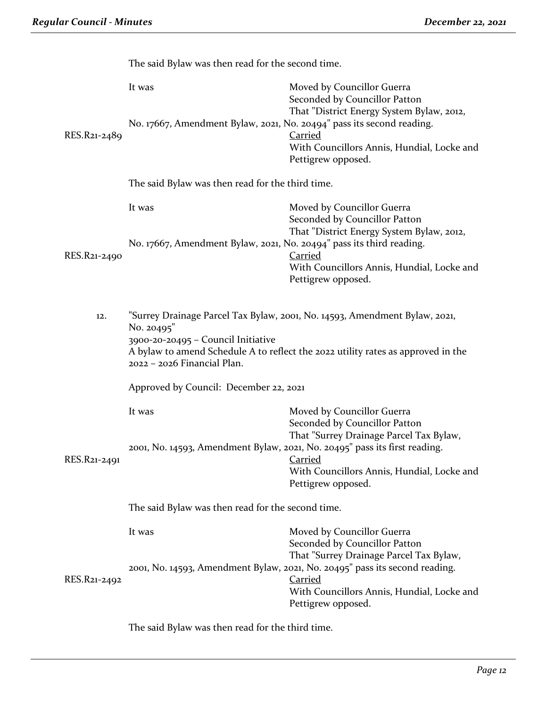|              | The said Bylaw was then read for the second time.                               |                                                                                                                                                                                                      |  |
|--------------|---------------------------------------------------------------------------------|------------------------------------------------------------------------------------------------------------------------------------------------------------------------------------------------------|--|
|              | It was                                                                          | Moved by Councillor Guerra<br>Seconded by Councillor Patton<br>That "District Energy System Bylaw, 2012,                                                                                             |  |
| RES.R21-2489 | No. 17667, Amendment Bylaw, 2021, No. 20494" pass its second reading.           | <b>Carried</b><br>With Councillors Annis, Hundial, Locke and<br>Pettigrew opposed.                                                                                                                   |  |
|              | The said Bylaw was then read for the third time.                                |                                                                                                                                                                                                      |  |
|              | It was                                                                          | Moved by Councillor Guerra<br>Seconded by Councillor Patton                                                                                                                                          |  |
| RES.R21-2490 | No. 17667, Amendment Bylaw, 2021, No. 20494" pass its third reading.            | That "District Energy System Bylaw, 2012,<br><b>Carried</b><br>With Councillors Annis, Hundial, Locke and<br>Pettigrew opposed.                                                                      |  |
| 12.          | No. 20495"<br>3900-20-20495 - Council Initiative<br>2022 - 2026 Financial Plan. | "Surrey Drainage Parcel Tax Bylaw, 2001, No. 14593, Amendment Bylaw, 2021,<br>A bylaw to amend Schedule A to reflect the 2022 utility rates as approved in the                                       |  |
|              | Approved by Council: December 22, 2021                                          |                                                                                                                                                                                                      |  |
|              | It was                                                                          | Moved by Councillor Guerra<br>Seconded by Councillor Patton                                                                                                                                          |  |
| RES.R21-2491 |                                                                                 | That "Surrey Drainage Parcel Tax Bylaw,<br>2001, No. 14593, Amendment Bylaw, 2021, No. 20495" pass its first reading.<br>Carried<br>With Councillors Annis, Hundial, Locke and<br>Pettigrew opposed. |  |
|              | The said Bylaw was then read for the second time.                               |                                                                                                                                                                                                      |  |
|              | It was                                                                          | Moved by Councillor Guerra<br>Seconded by Councillor Patton<br>That "Surrey Drainage Parcel Tax Bylaw,                                                                                               |  |
| RES.R21-2492 |                                                                                 | 2001, No. 14593, Amendment Bylaw, 2021, No. 20495" pass its second reading.<br><b>Carried</b><br>With Councillors Annis, Hundial, Locke and<br>Pettigrew opposed.                                    |  |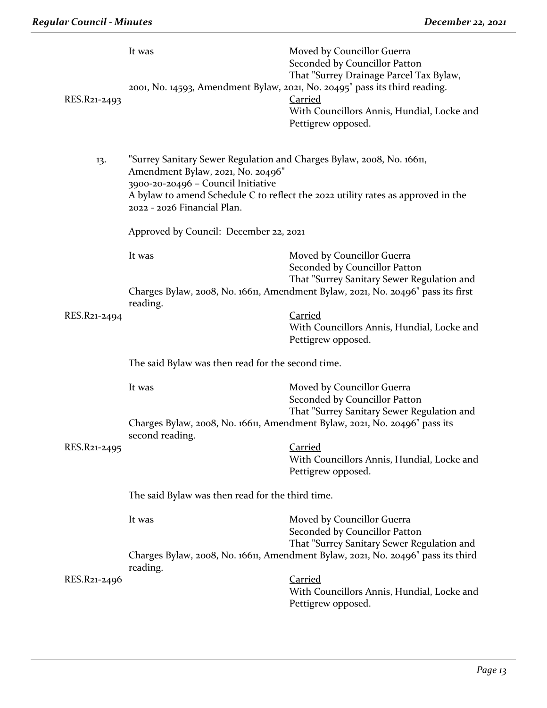| RES.R21-2493 | It was                                                                                                                                                                          | Moved by Councillor Guerra<br>Seconded by Councillor Patton<br>That "Surrey Drainage Parcel Tax Bylaw,<br>2001, No. 14593, Amendment Bylaw, 2021, No. 20495" pass its third reading.<br><b>Carried</b><br>With Councillors Annis, Hundial, Locke and<br>Pettigrew opposed. |
|--------------|---------------------------------------------------------------------------------------------------------------------------------------------------------------------------------|----------------------------------------------------------------------------------------------------------------------------------------------------------------------------------------------------------------------------------------------------------------------------|
| 13.          | "Surrey Sanitary Sewer Regulation and Charges Bylaw, 2008, No. 16611,<br>Amendment Bylaw, 2021, No. 20496"<br>3900-20-20496 - Council Initiative<br>2022 - 2026 Financial Plan. | A bylaw to amend Schedule C to reflect the 2022 utility rates as approved in the                                                                                                                                                                                           |
|              | Approved by Council: December 22, 2021                                                                                                                                          |                                                                                                                                                                                                                                                                            |
|              | It was                                                                                                                                                                          | Moved by Councillor Guerra<br>Seconded by Councillor Patton<br>That "Surrey Sanitary Sewer Regulation and<br>Charges Bylaw, 2008, No. 16611, Amendment Bylaw, 2021, No. 20496" pass its first                                                                              |
| RES.R21-2494 | reading.                                                                                                                                                                        | <b>Carried</b><br>With Councillors Annis, Hundial, Locke and<br>Pettigrew opposed.                                                                                                                                                                                         |
|              | The said Bylaw was then read for the second time.                                                                                                                               |                                                                                                                                                                                                                                                                            |
|              | It was                                                                                                                                                                          | Moved by Councillor Guerra<br>Seconded by Councillor Patton<br>That "Surrey Sanitary Sewer Regulation and                                                                                                                                                                  |
|              | Charges Bylaw, 2008, No. 16611, Amendment Bylaw, 2021, No. 20496" pass its<br>second reading.                                                                                   |                                                                                                                                                                                                                                                                            |
| RES.R21-2495 |                                                                                                                                                                                 | <b>Carried</b><br>With Councillors Annis, Hundial, Locke and<br>Pettigrew opposed.                                                                                                                                                                                         |
|              | The said Bylaw was then read for the third time.                                                                                                                                |                                                                                                                                                                                                                                                                            |
|              | It was                                                                                                                                                                          | Moved by Councillor Guerra<br>Seconded by Councillor Patton<br>That "Surrey Sanitary Sewer Regulation and                                                                                                                                                                  |
|              | reading.                                                                                                                                                                        | Charges Bylaw, 2008, No. 16611, Amendment Bylaw, 2021, No. 20496" pass its third                                                                                                                                                                                           |
| RES.R21-2496 |                                                                                                                                                                                 | <u>Carried</u><br>With Councillors Annis, Hundial, Locke and<br>Pettigrew opposed.                                                                                                                                                                                         |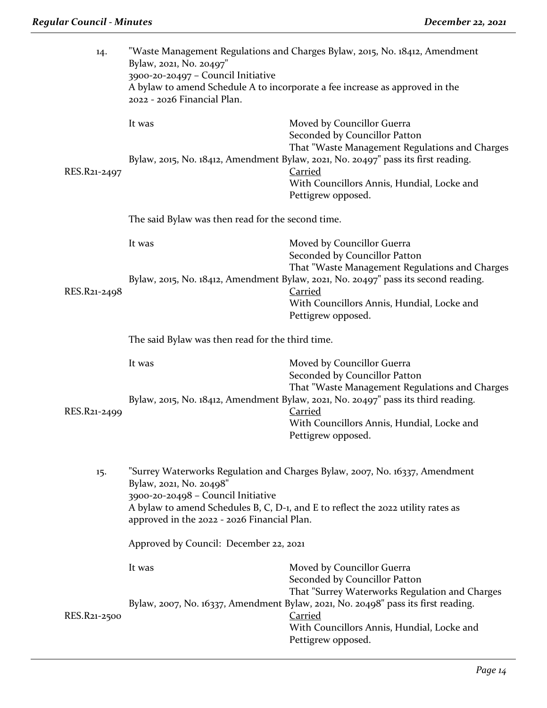| 14.          | "Waste Management Regulations and Charges Bylaw, 2015, No. 18412, Amendment<br>Bylaw, 2021, No. 20497"<br>3900-20-20497 - Council Initiative<br>A bylaw to amend Schedule A to incorporate a fee increase as approved in the<br>2022 - 2026 Financial Plan.                     |                                                                                                                                                                                                                            |  |
|--------------|---------------------------------------------------------------------------------------------------------------------------------------------------------------------------------------------------------------------------------------------------------------------------------|----------------------------------------------------------------------------------------------------------------------------------------------------------------------------------------------------------------------------|--|
|              | It was                                                                                                                                                                                                                                                                          | Moved by Councillor Guerra<br>Seconded by Councillor Patton<br>That "Waste Management Regulations and Charges                                                                                                              |  |
| RES.R21-2497 |                                                                                                                                                                                                                                                                                 | Bylaw, 2015, No. 18412, Amendment Bylaw, 2021, No. 20497" pass its first reading.<br><b>Carried</b><br>With Councillors Annis, Hundial, Locke and<br>Pettigrew opposed.                                                    |  |
|              | The said Bylaw was then read for the second time.                                                                                                                                                                                                                               |                                                                                                                                                                                                                            |  |
|              | It was                                                                                                                                                                                                                                                                          | Moved by Councillor Guerra<br>Seconded by Councillor Patton                                                                                                                                                                |  |
| RES.R21-2498 |                                                                                                                                                                                                                                                                                 | That "Waste Management Regulations and Charges<br>Bylaw, 2015, No. 18412, Amendment Bylaw, 2021, No. 20497" pass its second reading.<br><b>Carried</b><br>With Councillors Annis, Hundial, Locke and<br>Pettigrew opposed. |  |
|              | The said Bylaw was then read for the third time.                                                                                                                                                                                                                                |                                                                                                                                                                                                                            |  |
|              | It was                                                                                                                                                                                                                                                                          | Moved by Councillor Guerra<br>Seconded by Councillor Patton<br>That "Waste Management Regulations and Charges                                                                                                              |  |
| RES.R21-2499 | Bylaw, 2015, No. 18412, Amendment Bylaw, 2021, No. 20497" pass its third reading.<br><b>Carried</b>                                                                                                                                                                             |                                                                                                                                                                                                                            |  |
|              |                                                                                                                                                                                                                                                                                 | With Councillors Annis, Hundial, Locke and<br>Pettigrew opposed.                                                                                                                                                           |  |
| 15.          | "Surrey Waterworks Regulation and Charges Bylaw, 2007, No. 16337, Amendment<br>Bylaw, 2021, No. 20498"<br>3900-20-20498 - Council Initiative<br>A bylaw to amend Schedules B, C, D-1, and E to reflect the 2022 utility rates as<br>approved in the 2022 - 2026 Financial Plan. |                                                                                                                                                                                                                            |  |
|              | Approved by Council: December 22, 2021                                                                                                                                                                                                                                          |                                                                                                                                                                                                                            |  |
|              | It was                                                                                                                                                                                                                                                                          | Moved by Councillor Guerra<br>Seconded by Councillor Patton                                                                                                                                                                |  |
| RES.R21-2500 |                                                                                                                                                                                                                                                                                 | That "Surrey Waterworks Regulation and Charges<br>Bylaw, 2007, No. 16337, Amendment Bylaw, 2021, No. 20498" pass its first reading.<br>Carried<br>With Councillors Annis, Hundial, Locke and<br>Pettigrew opposed.         |  |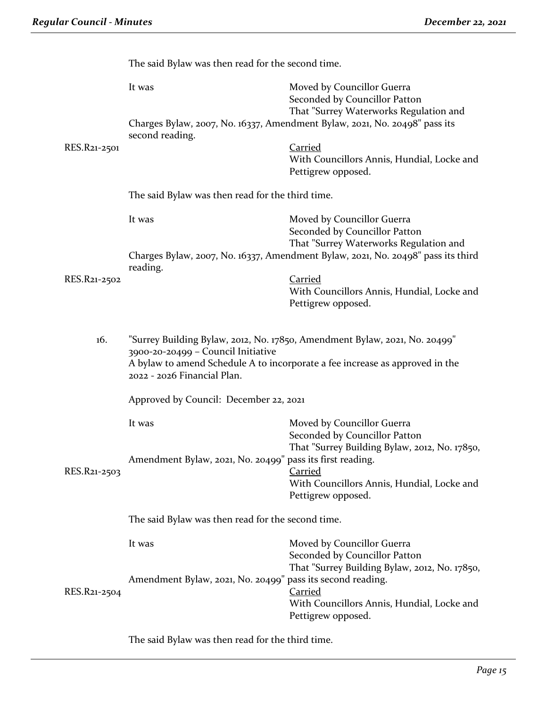|              | The said Bylaw was then read for the second time.                                                                                                                                                                               |                                                                                                                            |  |
|--------------|---------------------------------------------------------------------------------------------------------------------------------------------------------------------------------------------------------------------------------|----------------------------------------------------------------------------------------------------------------------------|--|
|              | It was                                                                                                                                                                                                                          | Moved by Councillor Guerra<br>Seconded by Councillor Patton<br>That "Surrey Waterworks Regulation and                      |  |
|              | second reading.                                                                                                                                                                                                                 | Charges Bylaw, 2007, No. 16337, Amendment Bylaw, 2021, No. 20498" pass its                                                 |  |
| RES.R21-2501 |                                                                                                                                                                                                                                 | <b>Carried</b>                                                                                                             |  |
|              |                                                                                                                                                                                                                                 | With Councillors Annis, Hundial, Locke and<br>Pettigrew opposed.                                                           |  |
|              | The said Bylaw was then read for the third time.                                                                                                                                                                                |                                                                                                                            |  |
|              | It was                                                                                                                                                                                                                          | Moved by Councillor Guerra                                                                                                 |  |
|              |                                                                                                                                                                                                                                 | Seconded by Councillor Patton                                                                                              |  |
|              |                                                                                                                                                                                                                                 | That "Surrey Waterworks Regulation and<br>Charges Bylaw, 2007, No. 16337, Amendment Bylaw, 2021, No. 20498" pass its third |  |
|              | reading.                                                                                                                                                                                                                        |                                                                                                                            |  |
| RES.R21-2502 |                                                                                                                                                                                                                                 | <b>Carried</b>                                                                                                             |  |
|              |                                                                                                                                                                                                                                 | With Councillors Annis, Hundial, Locke and<br>Pettigrew opposed.                                                           |  |
|              |                                                                                                                                                                                                                                 |                                                                                                                            |  |
| 16.          | "Surrey Building Bylaw, 2012, No. 17850, Amendment Bylaw, 2021, No. 20499"<br>3900-20-20499 - Council Initiative<br>A bylaw to amend Schedule A to incorporate a fee increase as approved in the<br>2022 - 2026 Financial Plan. |                                                                                                                            |  |
|              | Approved by Council: December 22, 2021                                                                                                                                                                                          |                                                                                                                            |  |
|              | It was                                                                                                                                                                                                                          | Moved by Councillor Guerra<br>Seconded by Councillor Patton                                                                |  |
|              | Amendment Bylaw, 2021, No. 20499" pass its first reading.                                                                                                                                                                       | That "Surrey Building Bylaw, 2012, No. 17850,                                                                              |  |
| RES.R21-2503 |                                                                                                                                                                                                                                 | Carried<br>With Councillors Annis, Hundial, Locke and                                                                      |  |
|              |                                                                                                                                                                                                                                 | Pettigrew opposed.                                                                                                         |  |
|              | The said Bylaw was then read for the second time.                                                                                                                                                                               |                                                                                                                            |  |
|              | It was                                                                                                                                                                                                                          | Moved by Councillor Guerra<br>Seconded by Councillor Patton                                                                |  |
|              |                                                                                                                                                                                                                                 | That "Surrey Building Bylaw, 2012, No. 17850,                                                                              |  |
| RES.R21-2504 | Amendment Bylaw, 2021, No. 20499" pass its second reading.                                                                                                                                                                      | <b>Carried</b>                                                                                                             |  |
|              |                                                                                                                                                                                                                                 | With Councillors Annis, Hundial, Locke and                                                                                 |  |
|              |                                                                                                                                                                                                                                 | Pettigrew opposed.                                                                                                         |  |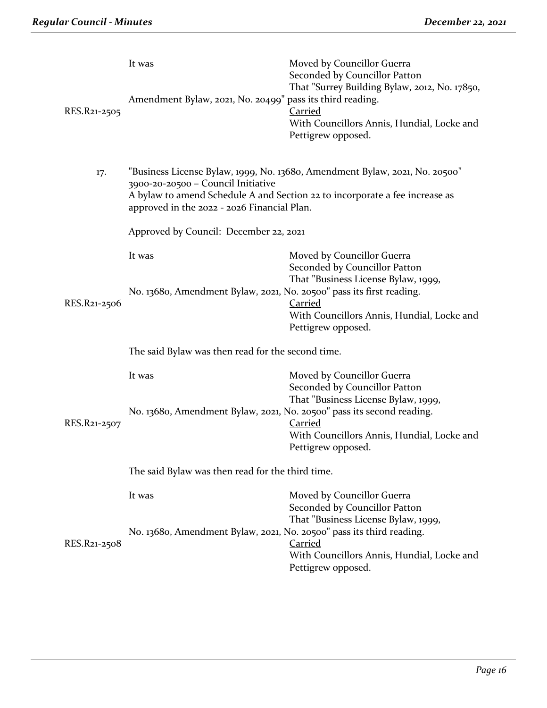| RES.R21-2505 | It was<br>Amendment Bylaw, 2021, No. 20499" pass its third reading.               | Moved by Councillor Guerra<br>Seconded by Councillor Patton<br>That "Surrey Building Bylaw, 2012, No. 17850,<br>Carried<br>With Councillors Annis, Hundial, Locke and<br>Pettigrew opposed. |
|--------------|-----------------------------------------------------------------------------------|---------------------------------------------------------------------------------------------------------------------------------------------------------------------------------------------|
| 17.          | 3900-20-20500 - Council Initiative<br>approved in the 2022 - 2026 Financial Plan. | "Business License Bylaw, 1999, No. 13680, Amendment Bylaw, 2021, No. 20500"<br>A bylaw to amend Schedule A and Section 22 to incorporate a fee increase as                                  |
|              | Approved by Council: December 22, 2021                                            |                                                                                                                                                                                             |
|              | It was                                                                            | Moved by Councillor Guerra<br>Seconded by Councillor Patton<br>That "Business License Bylaw, 1999,                                                                                          |
| RES.R21-2506 | No. 1368o, Amendment Bylaw, 2021, No. 20500" pass its first reading.              | Carried<br>With Councillors Annis, Hundial, Locke and<br>Pettigrew opposed.                                                                                                                 |
|              | The said Bylaw was then read for the second time.                                 |                                                                                                                                                                                             |
|              | It was                                                                            | Moved by Councillor Guerra<br>Seconded by Councillor Patton<br>That "Business License Bylaw, 1999,                                                                                          |
| RES.R21-2507 | No. 1368o, Amendment Bylaw, 2021, No. 20500" pass its second reading.             | <b>Carried</b><br>With Councillors Annis, Hundial, Locke and<br>Pettigrew opposed.                                                                                                          |
|              | The said Bylaw was then read for the third time.                                  |                                                                                                                                                                                             |
|              | It was                                                                            | Moved by Councillor Guerra<br>Seconded by Councillor Patton<br>That "Business License Bylaw, 1999,                                                                                          |
| RES.R21-2508 | No. 13680, Amendment Bylaw, 2021, No. 20500" pass its third reading.              | <b>Carried</b><br>With Councillors Annis, Hundial, Locke and<br>Pettigrew opposed.                                                                                                          |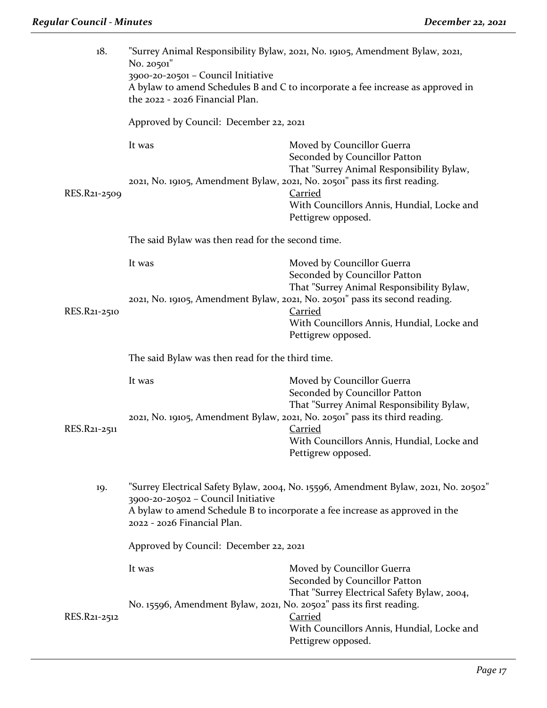| 18.          | "Surrey Animal Responsibility Bylaw, 2021, No. 19105, Amendment Bylaw, 2021,<br>No. 20501"<br>3900-20-20501 - Council Initiative<br>A bylaw to amend Schedules B and C to incorporate a fee increase as approved in<br>the 2022 - 2026 Financial Plan. |                                                                                                                                                            |  |
|--------------|--------------------------------------------------------------------------------------------------------------------------------------------------------------------------------------------------------------------------------------------------------|------------------------------------------------------------------------------------------------------------------------------------------------------------|--|
|              | Approved by Council: December 22, 2021                                                                                                                                                                                                                 |                                                                                                                                                            |  |
|              | It was                                                                                                                                                                                                                                                 | Moved by Councillor Guerra<br>Seconded by Councillor Patton<br>That "Surrey Animal Responsibility Bylaw,                                                   |  |
| RES.R21-2509 | 2021, No. 19105, Amendment Bylaw, 2021, No. 20501" pass its first reading.                                                                                                                                                                             | <b>Carried</b><br>With Councillors Annis, Hundial, Locke and<br>Pettigrew opposed.                                                                         |  |
|              | The said Bylaw was then read for the second time.                                                                                                                                                                                                      |                                                                                                                                                            |  |
|              | It was                                                                                                                                                                                                                                                 | Moved by Councillor Guerra<br>Seconded by Councillor Patton<br>That "Surrey Animal Responsibility Bylaw,                                                   |  |
| RES.R21-2510 |                                                                                                                                                                                                                                                        | 2021, No. 19105, Amendment Bylaw, 2021, No. 20501" pass its second reading.<br>Carried<br>With Councillors Annis, Hundial, Locke and<br>Pettigrew opposed. |  |
|              | The said Bylaw was then read for the third time.                                                                                                                                                                                                       |                                                                                                                                                            |  |
|              | It was                                                                                                                                                                                                                                                 | Moved by Councillor Guerra<br>Seconded by Councillor Patton<br>That "Surrey Animal Responsibility Bylaw,                                                   |  |
| RES.R21-2511 | 2021, No. 19105, Amendment Bylaw, 2021, No. 20501" pass its third reading.                                                                                                                                                                             | <b>Carried</b><br>With Councillors Annis, Hundial, Locke and<br>Pettigrew opposed.                                                                         |  |
| 19.          | "Surrey Electrical Safety Bylaw, 2004, No. 15596, Amendment Bylaw, 2021, No. 20502"<br>3900-20-20502 - Council Initiative<br>A bylaw to amend Schedule B to incorporate a fee increase as approved in the<br>2022 - 2026 Financial Plan.               |                                                                                                                                                            |  |
|              | Approved by Council: December 22, 2021                                                                                                                                                                                                                 |                                                                                                                                                            |  |
|              | It was                                                                                                                                                                                                                                                 | Moved by Councillor Guerra<br>Seconded by Councillor Patton<br>That "Surrey Electrical Safety Bylaw, 2004,                                                 |  |
| RES.R21-2512 | No. 15596, Amendment Bylaw, 2021, No. 20502" pass its first reading.                                                                                                                                                                                   | Carried<br>With Councillors Annis, Hundial, Locke and<br>Pettigrew opposed.                                                                                |  |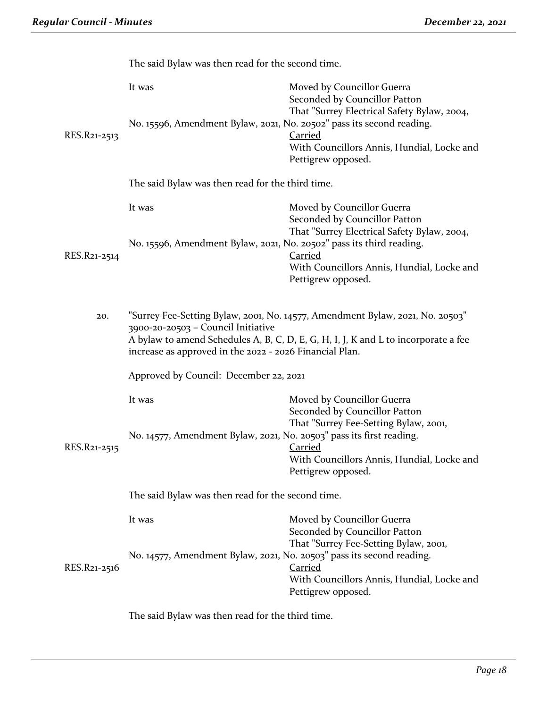|              | The said Bylaw was then read for the second time.                                                                                                                                                                                                                    |                                                                                                                                                                                                  |
|--------------|----------------------------------------------------------------------------------------------------------------------------------------------------------------------------------------------------------------------------------------------------------------------|--------------------------------------------------------------------------------------------------------------------------------------------------------------------------------------------------|
| RES.R21-2513 | It was<br>No. 15596, Amendment Bylaw, 2021, No. 20502" pass its second reading.                                                                                                                                                                                      | Moved by Councillor Guerra<br>Seconded by Councillor Patton<br>That "Surrey Electrical Safety Bylaw, 2004,<br><b>Carried</b><br>With Councillors Annis, Hundial, Locke and<br>Pettigrew opposed. |
|              | The said Bylaw was then read for the third time.                                                                                                                                                                                                                     |                                                                                                                                                                                                  |
|              | It was                                                                                                                                                                                                                                                               | Moved by Councillor Guerra<br>Seconded by Councillor Patton<br>That "Surrey Electrical Safety Bylaw, 2004,                                                                                       |
| RES.R21-2514 | No. 15596, Amendment Bylaw, 2021, No. 20502" pass its third reading.                                                                                                                                                                                                 | <b>Carried</b><br>With Councillors Annis, Hundial, Locke and<br>Pettigrew opposed.                                                                                                               |
| 20.          | "Surrey Fee-Setting Bylaw, 2001, No. 14577, Amendment Bylaw, 2021, No. 20503"<br>3900-20-20503 - Council Initiative<br>A bylaw to amend Schedules A, B, C, D, E, G, H, I, J, K and L to incorporate a fee<br>increase as approved in the 2022 - 2026 Financial Plan. |                                                                                                                                                                                                  |
|              | Approved by Council: December 22, 2021                                                                                                                                                                                                                               |                                                                                                                                                                                                  |
|              | It was                                                                                                                                                                                                                                                               | Moved by Councillor Guerra<br>Seconded by Councillor Patton<br>That "Surrey Fee-Setting Bylaw, 2001,                                                                                             |
| RES.R21-2515 | No. 14577, Amendment Bylaw, 2021, No. 20503" pass its first reading.                                                                                                                                                                                                 | <b>Carried</b><br>With Councillors Annis, Hundial, Locke and<br>Pettigrew opposed.                                                                                                               |
|              | The said Bylaw was then read for the second time.                                                                                                                                                                                                                    |                                                                                                                                                                                                  |
| RES.R21-2516 | It was<br>No. 14577, Amendment Bylaw, 2021, No. 20503" pass its second reading.                                                                                                                                                                                      | Moved by Councillor Guerra<br>Seconded by Councillor Patton<br>That "Surrey Fee-Setting Bylaw, 2001,<br>Carried                                                                                  |
|              |                                                                                                                                                                                                                                                                      | With Councillors Annis, Hundial, Locke and<br>Pettigrew opposed.                                                                                                                                 |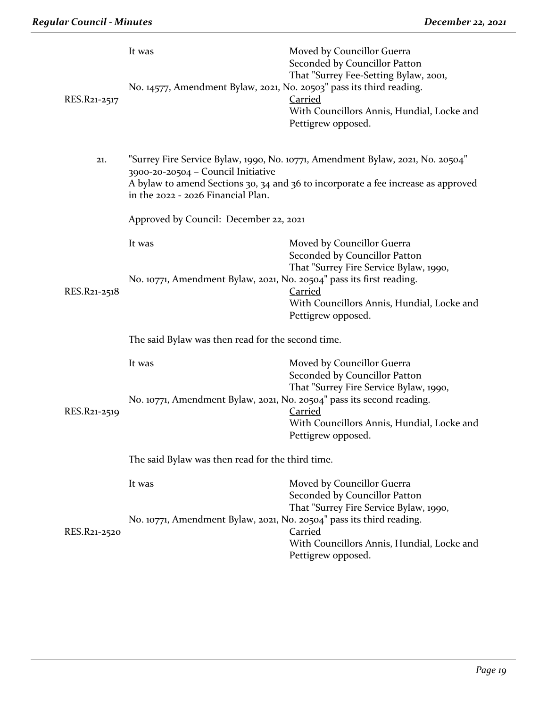| RES.R21-2517 | It was<br>No. 14577, Amendment Bylaw, 2021, No. 20503" pass its third reading. | Moved by Councillor Guerra<br>Seconded by Councillor Patton<br>That "Surrey Fee-Setting Bylaw, 2001,<br>Carried<br>With Councillors Annis, Hundial, Locke and<br>Pettigrew opposed. |
|--------------|--------------------------------------------------------------------------------|-------------------------------------------------------------------------------------------------------------------------------------------------------------------------------------|
| 21.          | 3900-20-20504 - Council Initiative<br>in the 2022 - 2026 Financial Plan.       | "Surrey Fire Service Bylaw, 1990, No. 10771, Amendment Bylaw, 2021, No. 20504"<br>A bylaw to amend Sections 30, 34 and 36 to incorporate a fee increase as approved                 |
|              | Approved by Council: December 22, 2021                                         |                                                                                                                                                                                     |
|              | It was                                                                         | Moved by Councillor Guerra<br>Seconded by Councillor Patton<br>That "Surrey Fire Service Bylaw, 1990,                                                                               |
| RES.R21-2518 | No. 10771, Amendment Bylaw, 2021, No. 20504" pass its first reading.           | Carried<br>With Councillors Annis, Hundial, Locke and<br>Pettigrew opposed.                                                                                                         |
|              | The said Bylaw was then read for the second time.                              |                                                                                                                                                                                     |
|              | It was                                                                         | Moved by Councillor Guerra<br>Seconded by Councillor Patton<br>That "Surrey Fire Service Bylaw, 1990,                                                                               |
| RES.R21-2519 | No. 10771, Amendment Bylaw, 2021, No. 20504" pass its second reading.          | <b>Carried</b><br>With Councillors Annis, Hundial, Locke and<br>Pettigrew opposed.                                                                                                  |
|              | The said Bylaw was then read for the third time.                               |                                                                                                                                                                                     |
|              | It was                                                                         | Moved by Councillor Guerra<br>Seconded by Councillor Patton<br>That "Surrey Fire Service Bylaw, 1990,                                                                               |
| RES.R21-2520 | No. 10771, Amendment Bylaw, 2021, No. 20504" pass its third reading.           | <b>Carried</b><br>With Councillors Annis, Hundial, Locke and<br>Pettigrew opposed.                                                                                                  |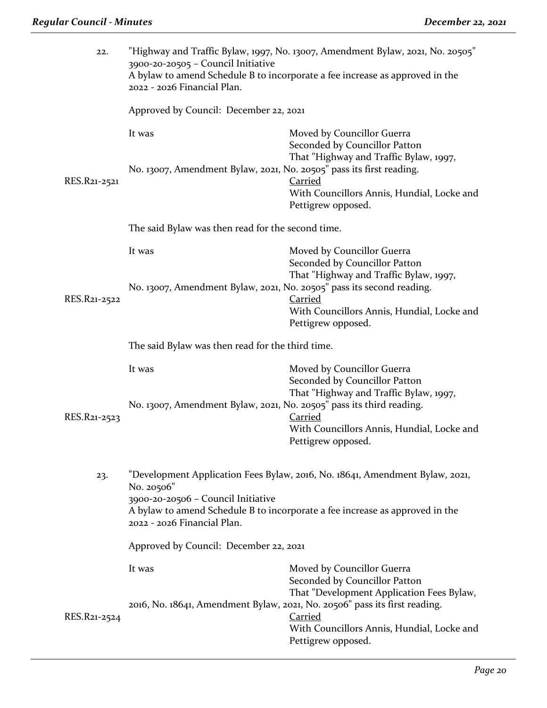| 22.          | "Highway and Traffic Bylaw, 1997, No. 13007, Amendment Bylaw, 2021, No. 20505"<br>3900-20-20505 - Council Initiative<br>A bylaw to amend Schedule B to incorporate a fee increase as approved in the<br>2022 - 2026 Financial Plan. |                                                                                                                                                                                         |  |
|--------------|-------------------------------------------------------------------------------------------------------------------------------------------------------------------------------------------------------------------------------------|-----------------------------------------------------------------------------------------------------------------------------------------------------------------------------------------|--|
|              | Approved by Council: December 22, 2021                                                                                                                                                                                              |                                                                                                                                                                                         |  |
|              | It was                                                                                                                                                                                                                              | Moved by Councillor Guerra<br>Seconded by Councillor Patton<br>That "Highway and Traffic Bylaw, 1997,                                                                                   |  |
| RES.R21-2521 | No. 13007, Amendment Bylaw, 2021, No. 20505" pass its first reading.                                                                                                                                                                | <b>Carried</b><br>With Councillors Annis, Hundial, Locke and                                                                                                                            |  |
|              | The said Bylaw was then read for the second time.                                                                                                                                                                                   | Pettigrew opposed.                                                                                                                                                                      |  |
|              |                                                                                                                                                                                                                                     |                                                                                                                                                                                         |  |
|              | It was                                                                                                                                                                                                                              | Moved by Councillor Guerra<br>Seconded by Councillor Patton<br>That "Highway and Traffic Bylaw, 1997,                                                                                   |  |
|              | No. 13007, Amendment Bylaw, 2021, No. 20505" pass its second reading.                                                                                                                                                               |                                                                                                                                                                                         |  |
| RES.R21-2522 |                                                                                                                                                                                                                                     | <b>Carried</b><br>With Councillors Annis, Hundial, Locke and<br>Pettigrew opposed.                                                                                                      |  |
|              | The said Bylaw was then read for the third time.                                                                                                                                                                                    |                                                                                                                                                                                         |  |
|              | It was                                                                                                                                                                                                                              | Moved by Councillor Guerra<br>Seconded by Councillor Patton<br>That "Highway and Traffic Bylaw, 1997,                                                                                   |  |
| RES.R21-2523 | No. 13007, Amendment Bylaw, 2021, No. 20505" pass its third reading.                                                                                                                                                                | <b>Carried</b>                                                                                                                                                                          |  |
|              |                                                                                                                                                                                                                                     | With Councillors Annis, Hundial, Locke and<br>Pettigrew opposed.                                                                                                                        |  |
| 23.          | "Development Application Fees Bylaw, 2016, No. 18641, Amendment Bylaw, 2021,<br>No. 20506"                                                                                                                                          |                                                                                                                                                                                         |  |
|              | 3900-20-20506 - Council Initiative<br>A bylaw to amend Schedule B to incorporate a fee increase as approved in the<br>2022 - 2026 Financial Plan.<br>Approved by Council: December 22, 2021                                         |                                                                                                                                                                                         |  |
|              |                                                                                                                                                                                                                                     |                                                                                                                                                                                         |  |
|              | It was                                                                                                                                                                                                                              | Moved by Councillor Guerra<br>Seconded by Councillor Patton                                                                                                                             |  |
| RES.R21-2524 |                                                                                                                                                                                                                                     | That "Development Application Fees Bylaw,<br>2016, No. 18641, Amendment Bylaw, 2021, No. 20506" pass its first reading.<br><b>Carried</b><br>With Councillors Annis, Hundial, Locke and |  |
|              |                                                                                                                                                                                                                                     | Pettigrew opposed.                                                                                                                                                                      |  |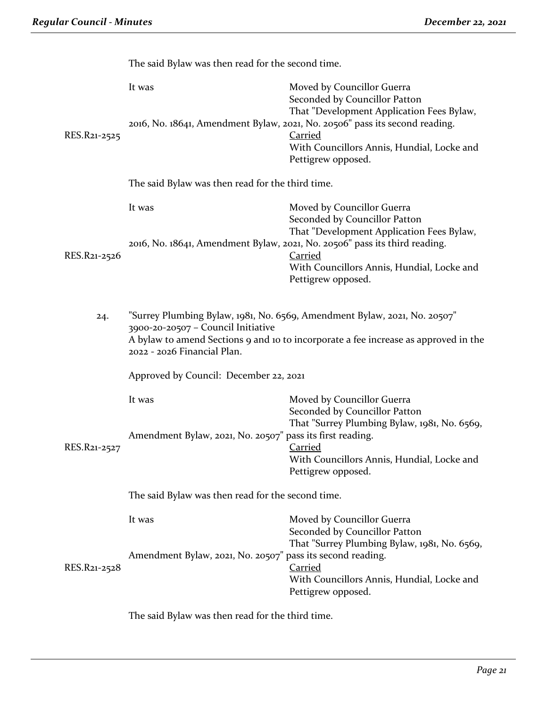|              | The said Bylaw was then read for the second time.                                                                                                                                                                                     |                                                                                                                                                                                                                                                                               |
|--------------|---------------------------------------------------------------------------------------------------------------------------------------------------------------------------------------------------------------------------------------|-------------------------------------------------------------------------------------------------------------------------------------------------------------------------------------------------------------------------------------------------------------------------------|
| RES.R21-2525 | It was                                                                                                                                                                                                                                | Moved by Councillor Guerra<br>Seconded by Councillor Patton<br>That "Development Application Fees Bylaw,<br>2016, No. 18641, Amendment Bylaw, 2021, No. 20506" pass its second reading.<br><b>Carried</b><br>With Councillors Annis, Hundial, Locke and<br>Pettigrew opposed. |
|              | The said Bylaw was then read for the third time.                                                                                                                                                                                      |                                                                                                                                                                                                                                                                               |
|              | It was                                                                                                                                                                                                                                | Moved by Councillor Guerra<br>Seconded by Councillor Patton<br>That "Development Application Fees Bylaw,<br>2016, No. 18641, Amendment Bylaw, 2021, No. 20506" pass its third reading.                                                                                        |
| RES.R21-2526 |                                                                                                                                                                                                                                       | <b>Carried</b><br>With Councillors Annis, Hundial, Locke and<br>Pettigrew opposed.                                                                                                                                                                                            |
| 24.          | "Surrey Plumbing Bylaw, 1981, No. 6569, Amendment Bylaw, 2021, No. 20507"<br>3900-20-20507 - Council Initiative<br>A bylaw to amend Sections 9 and 10 to incorporate a fee increase as approved in the<br>2022 - 2026 Financial Plan. |                                                                                                                                                                                                                                                                               |
|              | Approved by Council: December 22, 2021                                                                                                                                                                                                |                                                                                                                                                                                                                                                                               |
| RES.R21-2527 | It was<br>Amendment Bylaw, 2021, No. 20507" pass its first reading.                                                                                                                                                                   | Moved by Councillor Guerra<br>Seconded by Councillor Patton<br>That "Surrey Plumbing Bylaw, 1981, No. 6569,                                                                                                                                                                   |
|              |                                                                                                                                                                                                                                       | <b>Carried</b><br>With Councillors Annis, Hundial, Locke and<br>Pettigrew opposed.                                                                                                                                                                                            |
|              | The said Bylaw was then read for the second time.                                                                                                                                                                                     |                                                                                                                                                                                                                                                                               |
|              | It was<br>Amendment Bylaw, 2021, No. 20507" pass its second reading.                                                                                                                                                                  | Moved by Councillor Guerra<br>Seconded by Councillor Patton<br>That "Surrey Plumbing Bylaw, 1981, No. 6569,                                                                                                                                                                   |
| RES.R21-2528 |                                                                                                                                                                                                                                       | <b>Carried</b><br>With Councillors Annis, Hundial, Locke and<br>Pettigrew opposed.                                                                                                                                                                                            |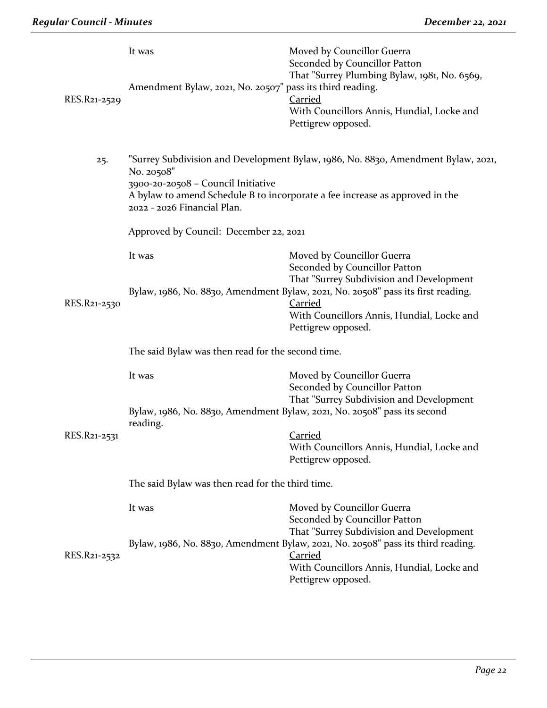| RES.R21-2529 | It was<br>Amendment Bylaw, 2021, No. 20507" pass its third reading.                                                                                                                                                                                  | Moved by Councillor Guerra<br>Seconded by Councillor Patton<br>That "Surrey Plumbing Bylaw, 1981, No. 6569,<br><b>Carried</b><br>With Councillors Annis, Hundial, Locke and<br>Pettigrew opposed. |
|--------------|------------------------------------------------------------------------------------------------------------------------------------------------------------------------------------------------------------------------------------------------------|---------------------------------------------------------------------------------------------------------------------------------------------------------------------------------------------------|
| 25.          | "Surrey Subdivision and Development Bylaw, 1986, No. 8830, Amendment Bylaw, 2021,<br>No. 20508"<br>3900-20-20508 - Council Initiative<br>A bylaw to amend Schedule B to incorporate a fee increase as approved in the<br>2022 - 2026 Financial Plan. |                                                                                                                                                                                                   |
|              | Approved by Council: December 22, 2021                                                                                                                                                                                                               |                                                                                                                                                                                                   |
|              | It was                                                                                                                                                                                                                                               | Moved by Councillor Guerra<br>Seconded by Councillor Patton<br>That "Surrey Subdivision and Development                                                                                           |
| RES.R21-2530 |                                                                                                                                                                                                                                                      | Bylaw, 1986, No. 8830, Amendment Bylaw, 2021, No. 20508" pass its first reading.<br><b>Carried</b><br>With Councillors Annis, Hundial, Locke and<br>Pettigrew opposed.                            |
|              | The said Bylaw was then read for the second time.                                                                                                                                                                                                    |                                                                                                                                                                                                   |
|              | It was                                                                                                                                                                                                                                               | Moved by Councillor Guerra<br>Seconded by Councillor Patton<br>That "Surrey Subdivision and Development                                                                                           |
|              | Bylaw, 1986, No. 8830, Amendment Bylaw, 2021, No. 20508" pass its second<br>reading.                                                                                                                                                                 |                                                                                                                                                                                                   |
| RES.R21-2531 |                                                                                                                                                                                                                                                      | <b>Carried</b><br>With Councillors Annis, Hundial, Locke and<br>Pettigrew opposed.                                                                                                                |
|              | The said Bylaw was then read for the third time.                                                                                                                                                                                                     |                                                                                                                                                                                                   |
|              | It was                                                                                                                                                                                                                                               | Moved by Councillor Guerra<br>Seconded by Councillor Patton<br>That "Surrey Subdivision and Development                                                                                           |
| RES.R21-2532 |                                                                                                                                                                                                                                                      | Bylaw, 1986, No. 8830, Amendment Bylaw, 2021, No. 20508" pass its third reading.<br><b>Carried</b><br>With Councillors Annis, Hundial, Locke and<br>Pettigrew opposed.                            |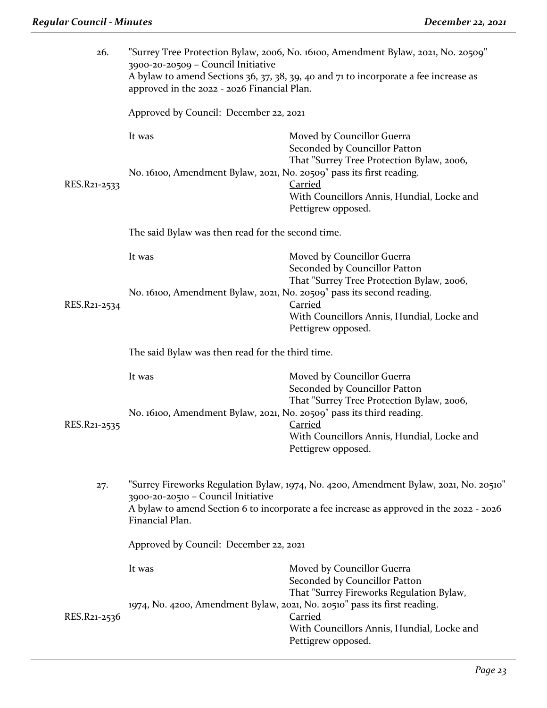| 26.          | "Surrey Tree Protection Bylaw, 2006, No. 16100, Amendment Bylaw, 2021, No. 20509"<br>3900-20-20509 - Council Initiative<br>A bylaw to amend Sections 36, 37, 38, 39, 40 and 71 to incorporate a fee increase as<br>approved in the 2022 - 2026 Financial Plan. |                                                                                                                                 |  |
|--------------|----------------------------------------------------------------------------------------------------------------------------------------------------------------------------------------------------------------------------------------------------------------|---------------------------------------------------------------------------------------------------------------------------------|--|
|              | Approved by Council: December 22, 2021                                                                                                                                                                                                                         |                                                                                                                                 |  |
|              | It was                                                                                                                                                                                                                                                         | Moved by Councillor Guerra<br>Seconded by Councillor Patton                                                                     |  |
| RES.R21-2533 | No. 16100, Amendment Bylaw, 2021, No. 20509" pass its first reading.                                                                                                                                                                                           | That "Surrey Tree Protection Bylaw, 2006,<br><b>Carried</b><br>With Councillors Annis, Hundial, Locke and<br>Pettigrew opposed. |  |
|              | The said Bylaw was then read for the second time.                                                                                                                                                                                                              |                                                                                                                                 |  |
|              | It was                                                                                                                                                                                                                                                         | Moved by Councillor Guerra<br>Seconded by Councillor Patton                                                                     |  |
| RES.R21-2534 | No. 16100, Amendment Bylaw, 2021, No. 20509" pass its second reading.                                                                                                                                                                                          | That "Surrey Tree Protection Bylaw, 2006,<br><b>Carried</b><br>With Councillors Annis, Hundial, Locke and<br>Pettigrew opposed. |  |
|              | The said Bylaw was then read for the third time.                                                                                                                                                                                                               |                                                                                                                                 |  |
|              | It was                                                                                                                                                                                                                                                         | Moved by Councillor Guerra<br>Seconded by Councillor Patton<br>That "Surrey Tree Protection Bylaw, 2006,                        |  |
| RES.R21-2535 | No. 16100, Amendment Bylaw, 2021, No. 20509" pass its third reading.                                                                                                                                                                                           | <b>Carried</b><br>With Councillors Annis, Hundial, Locke and<br>Pettigrew opposed.                                              |  |
| 27.          | "Surrey Fireworks Regulation Bylaw, 1974, No. 4200, Amendment Bylaw, 2021, No. 20510"<br>3900-20-20510 - Council Initiative<br>A bylaw to amend Section 6 to incorporate a fee increase as approved in the 2022 - 2026<br>Financial Plan.                      |                                                                                                                                 |  |
|              | Approved by Council: December 22, 2021                                                                                                                                                                                                                         |                                                                                                                                 |  |
|              | It was                                                                                                                                                                                                                                                         | Moved by Councillor Guerra<br>Seconded by Councillor Patton                                                                     |  |
| RES.R21-2536 | 1974, No. 4200, Amendment Bylaw, 2021, No. 20510" pass its first reading.                                                                                                                                                                                      | That "Surrey Fireworks Regulation Bylaw,<br><b>Carried</b><br>With Councillors Annis, Hundial, Locke and<br>Pettigrew opposed.  |  |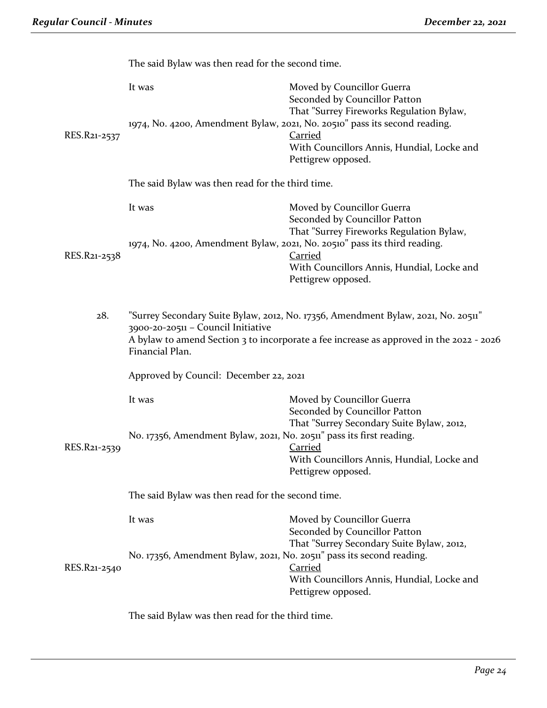|              | The said Bylaw was then read for the second time.                                                                                                                                                                                     |                                                                                                                                                                                                             |
|--------------|---------------------------------------------------------------------------------------------------------------------------------------------------------------------------------------------------------------------------------------|-------------------------------------------------------------------------------------------------------------------------------------------------------------------------------------------------------------|
|              | It was                                                                                                                                                                                                                                | Moved by Councillor Guerra<br>Seconded by Councillor Patton<br>That "Surrey Fireworks Regulation Bylaw,                                                                                                     |
| RES.R21-2537 |                                                                                                                                                                                                                                       | 1974, No. 4200, Amendment Bylaw, 2021, No. 20510" pass its second reading.<br><b>Carried</b><br>With Councillors Annis, Hundial, Locke and<br>Pettigrew opposed.                                            |
|              | The said Bylaw was then read for the third time.                                                                                                                                                                                      |                                                                                                                                                                                                             |
|              | It was                                                                                                                                                                                                                                | Moved by Councillor Guerra<br>Seconded by Councillor Patton                                                                                                                                                 |
| RES.R21-2538 |                                                                                                                                                                                                                                       | That "Surrey Fireworks Regulation Bylaw,<br>1974, No. 4200, Amendment Bylaw, 2021, No. 20510" pass its third reading.<br><b>Carried</b><br>With Councillors Annis, Hundial, Locke and<br>Pettigrew opposed. |
| 28.          | "Surrey Secondary Suite Bylaw, 2012, No. 17356, Amendment Bylaw, 2021, No. 20511"<br>3900-20-20511 - Council Initiative<br>A bylaw to amend Section 3 to incorporate a fee increase as approved in the 2022 - 2026<br>Financial Plan. |                                                                                                                                                                                                             |
|              | Approved by Council: December 22, 2021                                                                                                                                                                                                |                                                                                                                                                                                                             |
|              | It was                                                                                                                                                                                                                                | Moved by Councillor Guerra<br>Seconded by Councillor Patton                                                                                                                                                 |
| RES.R21-2539 | No. 17356, Amendment Bylaw, 2021, No. 20511" pass its first reading.                                                                                                                                                                  | That "Surrey Secondary Suite Bylaw, 2012,<br><b>Carried</b><br>With Councillors Annis, Hundial, Locke and<br>Pettigrew opposed.                                                                             |
|              | The said Bylaw was then read for the second time.                                                                                                                                                                                     |                                                                                                                                                                                                             |
|              | It was                                                                                                                                                                                                                                | Moved by Councillor Guerra<br>Seconded by Councillor Patton<br>That "Surrey Secondary Suite Bylaw, 2012,                                                                                                    |
| RES.R21-2540 | No. 17356, Amendment Bylaw, 2021, No. 20511" pass its second reading.                                                                                                                                                                 | <b>Carried</b><br>With Councillors Annis, Hundial, Locke and<br>Pettigrew opposed.                                                                                                                          |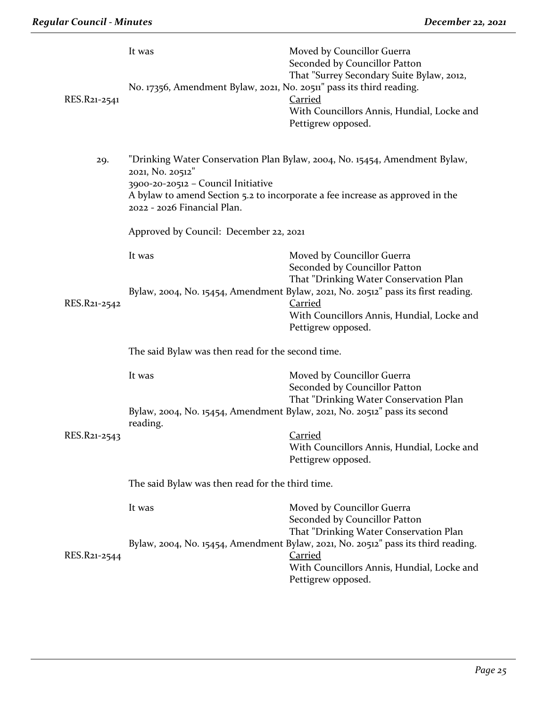| RES.R21-2541 | It was<br>No. 17356, Amendment Bylaw, 2021, No. 20511" pass its third reading.                                                                                                                                                                       | Moved by Councillor Guerra<br>Seconded by Councillor Patton<br>That "Surrey Secondary Suite Bylaw, 2012,<br>Carried<br>With Councillors Annis, Hundial, Locke and<br>Pettigrew opposed. |  |
|--------------|------------------------------------------------------------------------------------------------------------------------------------------------------------------------------------------------------------------------------------------------------|-----------------------------------------------------------------------------------------------------------------------------------------------------------------------------------------|--|
| 29.          | "Drinking Water Conservation Plan Bylaw, 2004, No. 15454, Amendment Bylaw,<br>2021, No. 20512"<br>3900-20-20512 - Council Initiative<br>A bylaw to amend Section 5.2 to incorporate a fee increase as approved in the<br>2022 - 2026 Financial Plan. |                                                                                                                                                                                         |  |
|              | Approved by Council: December 22, 2021                                                                                                                                                                                                               |                                                                                                                                                                                         |  |
|              | It was                                                                                                                                                                                                                                               | Moved by Councillor Guerra<br>Seconded by Councillor Patton<br>That "Drinking Water Conservation Plan                                                                                   |  |
| RES.R21-2542 |                                                                                                                                                                                                                                                      | Bylaw, 2004, No. 15454, Amendment Bylaw, 2021, No. 20512" pass its first reading.<br><b>Carried</b><br>With Councillors Annis, Hundial, Locke and<br>Pettigrew opposed.                 |  |
|              | The said Bylaw was then read for the second time.                                                                                                                                                                                                    |                                                                                                                                                                                         |  |
|              | It was                                                                                                                                                                                                                                               | Moved by Councillor Guerra<br>Seconded by Councillor Patton<br>That "Drinking Water Conservation Plan                                                                                   |  |
| RES.R21-2543 | Bylaw, 2004, No. 15454, Amendment Bylaw, 2021, No. 20512" pass its second<br>reading.                                                                                                                                                                |                                                                                                                                                                                         |  |
|              |                                                                                                                                                                                                                                                      | Carried<br>With Councillors Annis, Hundial, Locke and<br>Pettigrew opposed.                                                                                                             |  |
|              | The said Bylaw was then read for the third time.                                                                                                                                                                                                     |                                                                                                                                                                                         |  |
|              | It was                                                                                                                                                                                                                                               | Moved by Councillor Guerra<br>Seconded by Councillor Patton<br>That "Drinking Water Conservation Plan                                                                                   |  |
| RES.R21-2544 |                                                                                                                                                                                                                                                      | Bylaw, 2004, No. 15454, Amendment Bylaw, 2021, No. 20512" pass its third reading.<br><b>Carried</b><br>With Councillors Annis, Hundial, Locke and<br>Pettigrew opposed.                 |  |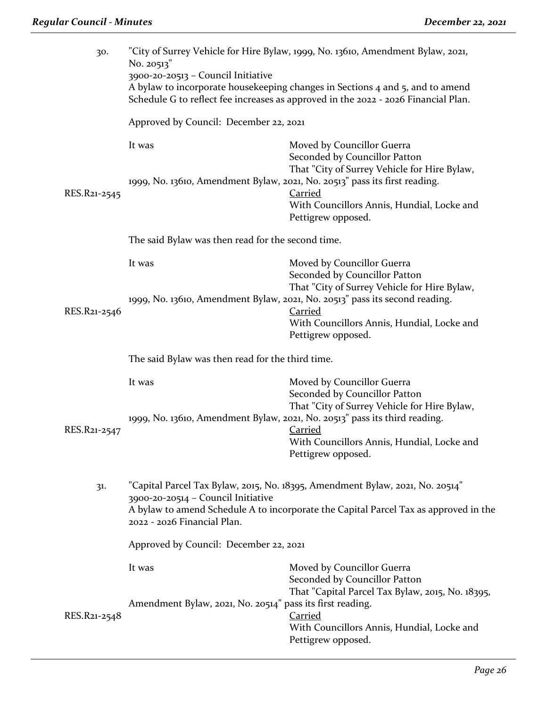| 30.          | "City of Surrey Vehicle for Hire Bylaw, 1999, No. 13610, Amendment Bylaw, 2021,<br>No. 20513"<br>3900-20-20513 - Council Initiative<br>A bylaw to incorporate housekeeping changes in Sections 4 and 5, and to amend                                                                 |                                                                                                                                                                   |  |  |
|--------------|--------------------------------------------------------------------------------------------------------------------------------------------------------------------------------------------------------------------------------------------------------------------------------------|-------------------------------------------------------------------------------------------------------------------------------------------------------------------|--|--|
|              | Schedule G to reflect fee increases as approved in the 2022 - 2026 Financial Plan.                                                                                                                                                                                                   |                                                                                                                                                                   |  |  |
|              | Approved by Council: December 22, 2021                                                                                                                                                                                                                                               |                                                                                                                                                                   |  |  |
|              | It was                                                                                                                                                                                                                                                                               | Moved by Councillor Guerra<br>Seconded by Councillor Patton<br>That "City of Surrey Vehicle for Hire Bylaw,                                                       |  |  |
| RES.R21-2545 | 1999, No. 13610, Amendment Bylaw, 2021, No. 20513" pass its first reading.                                                                                                                                                                                                           | <b>Carried</b><br>With Councillors Annis, Hundial, Locke and<br>Pettigrew opposed.                                                                                |  |  |
|              | The said Bylaw was then read for the second time.                                                                                                                                                                                                                                    |                                                                                                                                                                   |  |  |
|              | It was                                                                                                                                                                                                                                                                               | Moved by Councillor Guerra<br>Seconded by Councillor Patton<br>That "City of Surrey Vehicle for Hire Bylaw,                                                       |  |  |
| RES.R21-2546 |                                                                                                                                                                                                                                                                                      | 1999, No. 13610, Amendment Bylaw, 2021, No. 20513" pass its second reading.<br><b>Carried</b><br>With Councillors Annis, Hundial, Locke and<br>Pettigrew opposed. |  |  |
|              | The said Bylaw was then read for the third time.                                                                                                                                                                                                                                     |                                                                                                                                                                   |  |  |
|              | It was                                                                                                                                                                                                                                                                               | Moved by Councillor Guerra<br>Seconded by Councillor Patton<br>That "City of Surrey Vehicle for Hire Bylaw,                                                       |  |  |
| RES.R21-2547 |                                                                                                                                                                                                                                                                                      | 1999, No. 13610, Amendment Bylaw, 2021, No. 20513" pass its third reading.<br><b>Carried</b><br>With Councillors Annis, Hundial, Locke and<br>Pettigrew opposed.  |  |  |
| 31.          | "Capital Parcel Tax Bylaw, 2015, No. 18395, Amendment Bylaw, 2021, No. 20514"<br>3900-20-20514 - Council Initiative<br>A bylaw to amend Schedule A to incorporate the Capital Parcel Tax as approved in the<br>2022 - 2026 Financial Plan.<br>Approved by Council: December 22, 2021 |                                                                                                                                                                   |  |  |
|              |                                                                                                                                                                                                                                                                                      |                                                                                                                                                                   |  |  |
|              | It was                                                                                                                                                                                                                                                                               | Moved by Councillor Guerra<br>Seconded by Councillor Patton<br>That "Capital Parcel Tax Bylaw, 2015, No. 18395,                                                   |  |  |
| RES.R21-2548 | Amendment Bylaw, 2021, No. 20514" pass its first reading.                                                                                                                                                                                                                            | <b>Carried</b><br>With Councillors Annis, Hundial, Locke and<br>Pettigrew opposed.                                                                                |  |  |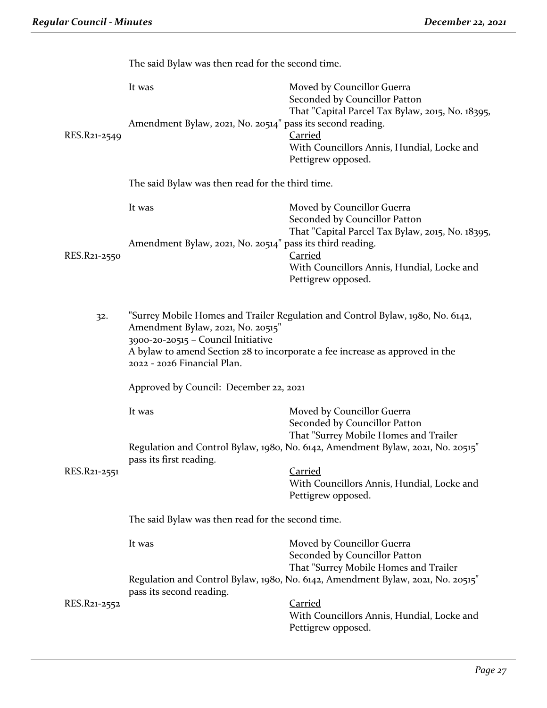|              | The said Bylaw was then read for the second time.                                                                                                                                                                                                                        |                                                                                                                 |  |  |
|--------------|--------------------------------------------------------------------------------------------------------------------------------------------------------------------------------------------------------------------------------------------------------------------------|-----------------------------------------------------------------------------------------------------------------|--|--|
|              | It was                                                                                                                                                                                                                                                                   | Moved by Councillor Guerra<br>Seconded by Councillor Patton<br>That "Capital Parcel Tax Bylaw, 2015, No. 18395, |  |  |
| RES.R21-2549 | Amendment Bylaw, 2021, No. 20514" pass its second reading.                                                                                                                                                                                                               | <b>Carried</b><br>With Councillors Annis, Hundial, Locke and                                                    |  |  |
|              |                                                                                                                                                                                                                                                                          | Pettigrew opposed.                                                                                              |  |  |
|              | The said Bylaw was then read for the third time.                                                                                                                                                                                                                         |                                                                                                                 |  |  |
|              | It was                                                                                                                                                                                                                                                                   | Moved by Councillor Guerra<br>Seconded by Councillor Patton                                                     |  |  |
|              | That "Capital Parcel Tax Bylaw, 2015, No. 18395,<br>Amendment Bylaw, 2021, No. 20514" pass its third reading.                                                                                                                                                            |                                                                                                                 |  |  |
| RES.R21-2550 |                                                                                                                                                                                                                                                                          | <b>Carried</b><br>With Councillors Annis, Hundial, Locke and<br>Pettigrew opposed.                              |  |  |
|              |                                                                                                                                                                                                                                                                          |                                                                                                                 |  |  |
| 32.          | "Surrey Mobile Homes and Trailer Regulation and Control Bylaw, 1980, No. 6142,<br>Amendment Bylaw, 2021, No. 20515"<br>3900-20-20515 - Council Initiative<br>A bylaw to amend Section 28 to incorporate a fee increase as approved in the<br>2022 - 2026 Financial Plan. |                                                                                                                 |  |  |
|              |                                                                                                                                                                                                                                                                          |                                                                                                                 |  |  |
|              | Approved by Council: December 22, 2021                                                                                                                                                                                                                                   |                                                                                                                 |  |  |
|              | It was                                                                                                                                                                                                                                                                   | Moved by Councillor Guerra<br>Seconded by Councillor Patton                                                     |  |  |
|              | That "Surrey Mobile Homes and Trailer<br>Regulation and Control Bylaw, 1980, No. 6142, Amendment Bylaw, 2021, No. 20515"                                                                                                                                                 |                                                                                                                 |  |  |
| RES.R21-2551 | pass its first reading.                                                                                                                                                                                                                                                  | <b>Carried</b>                                                                                                  |  |  |
|              |                                                                                                                                                                                                                                                                          | With Councillors Annis, Hundial, Locke and<br>Pettigrew opposed.                                                |  |  |
|              | The said Bylaw was then read for the second time.                                                                                                                                                                                                                        |                                                                                                                 |  |  |
|              | It was                                                                                                                                                                                                                                                                   | Moved by Councillor Guerra<br>Seconded by Councillor Patton                                                     |  |  |
|              | That "Surrey Mobile Homes and Trailer<br>Regulation and Control Bylaw, 1980, No. 6142, Amendment Bylaw, 2021, No. 20515"<br>pass its second reading.                                                                                                                     |                                                                                                                 |  |  |
| RES.R21-2552 |                                                                                                                                                                                                                                                                          | <b>Carried</b><br>With Councillors Annis, Hundial, Locke and<br>Pettigrew opposed.                              |  |  |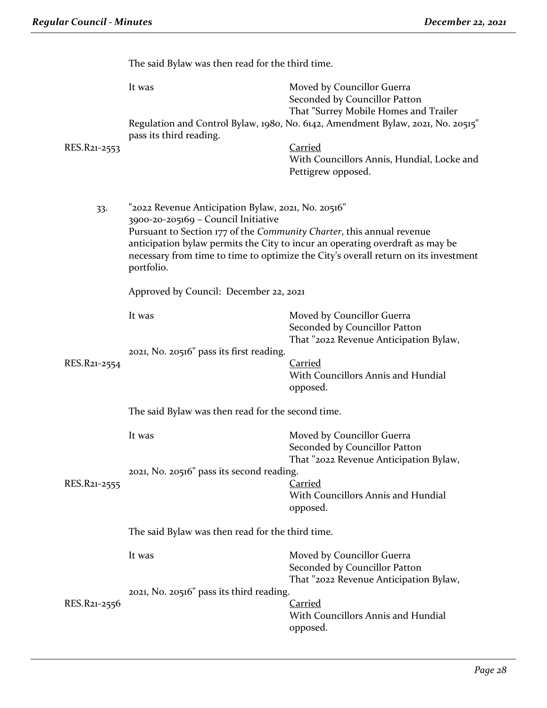|              | The said Bylaw was then read for the third time.                                                                                                                                                                                                                                                                                                         |                                                                                                                                                                                         |  |  |
|--------------|----------------------------------------------------------------------------------------------------------------------------------------------------------------------------------------------------------------------------------------------------------------------------------------------------------------------------------------------------------|-----------------------------------------------------------------------------------------------------------------------------------------------------------------------------------------|--|--|
|              | It was                                                                                                                                                                                                                                                                                                                                                   | Moved by Councillor Guerra<br>Seconded by Councillor Patton<br>That "Surrey Mobile Homes and Trailer<br>Regulation and Control Bylaw, 1980, No. 6142, Amendment Bylaw, 2021, No. 20515" |  |  |
|              | pass its third reading.                                                                                                                                                                                                                                                                                                                                  |                                                                                                                                                                                         |  |  |
| RES.R21-2553 |                                                                                                                                                                                                                                                                                                                                                          | <b>Carried</b><br>With Councillors Annis, Hundial, Locke and<br>Pettigrew opposed.                                                                                                      |  |  |
| 33.          | "2022 Revenue Anticipation Bylaw, 2021, No. 20516"<br>3900-20-205169 - Council Initiative<br>Pursuant to Section 177 of the Community Charter, this annual revenue<br>anticipation bylaw permits the City to incur an operating overdraft as may be<br>necessary from time to time to optimize the City's overall return on its investment<br>portfolio. |                                                                                                                                                                                         |  |  |
|              | Approved by Council: December 22, 2021                                                                                                                                                                                                                                                                                                                   |                                                                                                                                                                                         |  |  |
|              | It was                                                                                                                                                                                                                                                                                                                                                   | Moved by Councillor Guerra<br>Seconded by Councillor Patton<br>That "2022 Revenue Anticipation Bylaw,                                                                                   |  |  |
|              | 2021, No. 20516" pass its first reading.                                                                                                                                                                                                                                                                                                                 |                                                                                                                                                                                         |  |  |
| RES.R21-2554 |                                                                                                                                                                                                                                                                                                                                                          | <b>Carried</b><br>With Councillors Annis and Hundial<br>opposed.                                                                                                                        |  |  |
|              | The said Bylaw was then read for the second time.                                                                                                                                                                                                                                                                                                        |                                                                                                                                                                                         |  |  |
|              | It was                                                                                                                                                                                                                                                                                                                                                   | Moved by Councillor Guerra                                                                                                                                                              |  |  |
|              |                                                                                                                                                                                                                                                                                                                                                          | Seconded by Councillor Patton<br>That "2022 Revenue Anticipation Bylaw,                                                                                                                 |  |  |
|              | 2021, No. 20516" pass its second reading.                                                                                                                                                                                                                                                                                                                |                                                                                                                                                                                         |  |  |
| RES.R21-2555 |                                                                                                                                                                                                                                                                                                                                                          | <b>Carried</b><br>With Councillors Annis and Hundial<br>opposed.                                                                                                                        |  |  |
|              | The said Bylaw was then read for the third time.                                                                                                                                                                                                                                                                                                         |                                                                                                                                                                                         |  |  |
|              | It was                                                                                                                                                                                                                                                                                                                                                   | Moved by Councillor Guerra<br>Seconded by Councillor Patton                                                                                                                             |  |  |
|              | 2021, No. 20516" pass its third reading.                                                                                                                                                                                                                                                                                                                 | That "2022 Revenue Anticipation Bylaw,                                                                                                                                                  |  |  |
| RES.R21-2556 |                                                                                                                                                                                                                                                                                                                                                          | <b>Carried</b><br>With Councillors Annis and Hundial<br>opposed.                                                                                                                        |  |  |